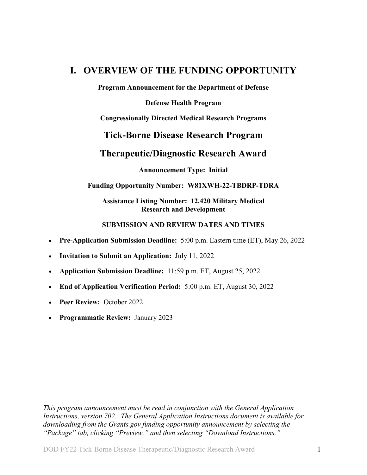## <span id="page-0-0"></span>**I. OVERVIEW OF THE FUNDING OPPORTUNITY**

**Program Announcement for the Department of Defense**

**Defense Health Program**

**Congressionally Directed Medical Research Programs**

## **Tick-Borne Disease Research Program**

## **Therapeutic/Diagnostic Research Award**

**Announcement Type: Initial** 

#### **Funding Opportunity Number: W81XWH-22-TBDRP-TDRA**

## **Assistance Listing Number: 12.420 Military Medical Research and Development**

#### **SUBMISSION AND REVIEW DATES AND TIMES**

- <span id="page-0-1"></span>• **Pre-Application Submission Deadline:** 5:00 p.m. Eastern time (ET), May 26, 2022
- **Invitation to Submit an Application:** July 11, 2022
- **Application Submission Deadline:** 11:59 p.m. ET, August 25, 2022
- **End of Application Verification Period:** 5:00 p.m. ET, August 30, 2022
- **Peer Review:** October 2022
- **Programmatic Review:** January 2023

*This program announcement must be read in conjunction with the General Application Instructions, version 702. The General Application Instructions document is available for downloading from the Grants.gov funding opportunity announcement by selecting the "Package" tab, clicking "Preview," and then selecting "Download Instructions."*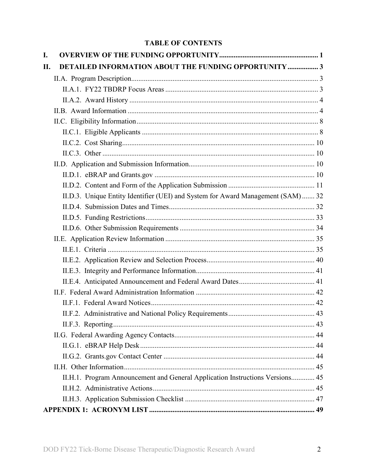## **TABLE OF CONTENTS**

| I.  |                                                                                  |  |
|-----|----------------------------------------------------------------------------------|--|
| II. | <b>DETAILED INFORMATION ABOUT THE FUNDING OPPORTUNITY  3</b>                     |  |
|     |                                                                                  |  |
|     |                                                                                  |  |
|     |                                                                                  |  |
|     |                                                                                  |  |
|     |                                                                                  |  |
|     |                                                                                  |  |
|     |                                                                                  |  |
|     |                                                                                  |  |
|     |                                                                                  |  |
|     |                                                                                  |  |
|     |                                                                                  |  |
|     | II.D.3. Unique Entity Identifier (UEI) and System for Award Management (SAM)  32 |  |
|     |                                                                                  |  |
|     |                                                                                  |  |
|     |                                                                                  |  |
|     |                                                                                  |  |
|     |                                                                                  |  |
|     |                                                                                  |  |
|     |                                                                                  |  |
|     |                                                                                  |  |
|     |                                                                                  |  |
|     |                                                                                  |  |
|     |                                                                                  |  |
|     |                                                                                  |  |
|     |                                                                                  |  |
|     |                                                                                  |  |
|     |                                                                                  |  |
|     |                                                                                  |  |
|     | II.H.1. Program Announcement and General Application Instructions Versions 45    |  |
|     |                                                                                  |  |
|     |                                                                                  |  |
|     |                                                                                  |  |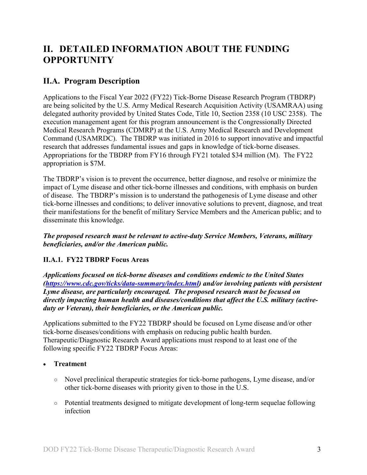# <span id="page-2-0"></span>**II. DETAILED INFORMATION ABOUT THE FUNDING OPPORTUNITY**

## <span id="page-2-1"></span>**II.A. Program Description**

Applications to the Fiscal Year 2022 (FY22) Tick-Borne Disease Research Program (TBDRP) are being solicited by the U.S. Army Medical Research Acquisition Activity (USAMRAA) using delegated authority provided by United States Code, Title 10, Section 2358 (10 USC 2358). The execution management agent for this program announcement is the Congressionally Directed Medical Research Programs (CDMRP) at the U.S. Army Medical Research and Development Command (USAMRDC). The TBDRP was initiated in 2016 to support innovative and impactful research that addresses fundamental issues and gaps in knowledge of tick-borne diseases. Appropriations for the TBDRP from FY16 through FY21 totaled \$34 million (M). The FY22 appropriation is \$7M.

The TBDRP's vision is to prevent the occurrence, better diagnose, and resolve or minimize the impact of Lyme disease and other tick-borne illnesses and conditions, with emphasis on burden of disease. The TBDRP's mission is to understand the pathogenesis of Lyme disease and other tick-borne illnesses and conditions; to deliver innovative solutions to prevent, diagnose, and treat their manifestations for the benefit of military Service Members and the American public; and to disseminate this knowledge.

*The proposed research must be relevant to active-duty Service Members, Veterans, military beneficiaries, and/or the American public.*

## <span id="page-2-3"></span><span id="page-2-2"></span>**II.A.1. FY22 TBDRP Focus Areas**

*Applications focused on tick-borne diseases and conditions endemic to the United States [\(https://www.cdc.gov/ticks/data-summary/index.html\)](https://www.cdc.gov/ticks/data-summary/index.html) and/or involving patients with persistent Lyme disease, are particularly encouraged. The proposed research must be focused on directly impacting human health and diseases/conditions that affect the U.S. military (activeduty or Veteran), their beneficiaries, or the American public.* 

Applications submitted to the FY22 TBDRP should be focused on Lyme disease and/or other tick-borne diseases/conditions with emphasis on reducing public health burden. Therapeutic/Diagnostic Research Award applications must respond to at least one of the following specific FY22 TBDRP Focus Areas:

• **Treatment**

- Novel preclinical therapeutic strategies for tick-borne pathogens, Lyme disease, and/or other tick-borne diseases with priority given to those in the U.S.
- Potential treatments designed to mitigate development of long-term sequelae following infection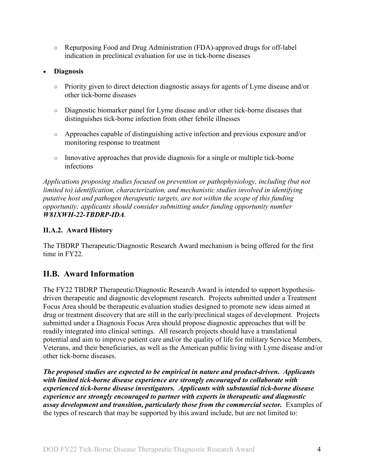○ Repurposing Food and Drug Administration (FDA)-approved drugs for off-label indication in preclinical evaluation for use in tick-borne diseases

## • **Diagnosis**

- Priority given to direct detection diagnostic assays for agents of Lyme disease and/or other tick-borne diseases
- Diagnostic biomarker panel for Lyme disease and/or other tick-borne diseases that distinguishes tick-borne infection from other febrile illnesses
- Approaches capable of distinguishing active infection and previous exposure and/or monitoring response to treatment
- Innovative approaches that provide diagnosis for a single or multiple tick-borne infections

*Applications proposing studies focused on prevention or pathophysiology, including (but not limited to) identification, characterization, and mechanistic studies involved in identifying putative host and pathogen therapeutic targets, are not within the scope of this funding opportunity; applicants should consider submitting under funding opportunity number W81XWH-22-TBDRP-IDA.*

## <span id="page-3-0"></span>**II.A.2. Award History**

The TBDRP Therapeutic/Diagnostic Research Award mechanism is being offered for the first time in FY22.

## <span id="page-3-1"></span>**II.B. Award Information**

The FY22 TBDRP Therapeutic/Diagnostic Research Award is intended to support hypothesisdriven therapeutic and diagnostic development research. Projects submitted under a Treatment Focus Area should be therapeutic evaluation studies designed to promote new ideas aimed at drug or treatment discovery that are still in the early/preclinical stages of development. Projects submitted under a Diagnosis Focus Area should propose diagnostic approaches that will be readily integrated into clinical settings. All research projects should have a translational potential and aim to improve patient care and/or the quality of life for military Service Members, Veterans, and their beneficiaries, as well as the American public living with Lyme disease and/or other tick-borne diseases.

*The proposed studies are expected to be empirical in nature and product-driven. Applicants with limited tick-borne disease experience are strongly encouraged to collaborate with experienced tick-borne disease investigators. Applicants with substantial tick-borne disease experience are strongly encouraged to partner with experts in therapeutic and diagnostic assay development and transition, particularly those from the commercial sector.* Examples of the types of research that may be supported by this award include, but are not limited to: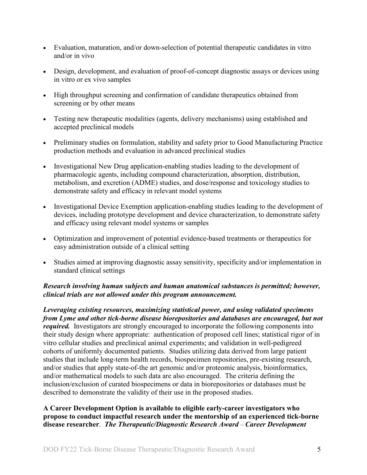- Evaluation, maturation, and/or down-selection of potential therapeutic candidates in vitro and/or in vivo
- Design, development, and evaluation of proof-of-concept diagnostic assays or devices using in vitro or ex vivo samples
- High throughput screening and confirmation of candidate therapeutics obtained from screening or by other means
- Testing new therapeutic modalities (agents, delivery mechanisms) using established and accepted preclinical models
- Preliminary studies on formulation, stability and safety prior to Good Manufacturing Practice production methods and evaluation in advanced preclinical studies
- Investigational New Drug application-enabling studies leading to the development of pharmacologic agents, including compound characterization, absorption, distribution, metabolism, and excretion (ADME) studies, and dose/response and toxicology studies to demonstrate safety and efficacy in relevant model systems
- Investigational Device Exemption application-enabling studies leading to the development of devices, including prototype development and device characterization, to demonstrate safety and efficacy using relevant model systems or samples
- Optimization and improvement of potential evidence-based treatments or therapeutics for easy administration outside of a clinical setting
- Studies aimed at improving diagnostic assay sensitivity, specificity and/or implementation in standard clinical settings

## *Research involving human subjects and human anatomical substances is permitted; however, clinical trials are not allowed under this program announcement.*

*Leveraging existing resources, maximizing statistical power, and using validated specimens from Lyme and other tick-borne disease biorepositories and databases are encouraged, but not required.* Investigators are strongly encouraged to incorporate the following components into their study design where appropriate: authentication of proposed cell lines; statistical rigor of in vitro cellular studies and preclinical animal experiments; and validation in well-pedigreed cohorts of uniformly documented patients. Studies utilizing data derived from large patient studies that include long-term health records, biospecimen repositories, pre-existing research, and/or studies that apply state-of-the art genomic and/or proteomic analysis, bioinformatics, and/or mathematical models to such data are also encouraged. The criteria defining the inclusion/exclusion of curated biospecimens or data in biorepositories or databases must be described to demonstrate the validity of their use in the proposed studies.

## **A Career Development Option is available to eligible early-career investigators who propose to conduct impactful research under the mentorship of an experienced tick-borne disease researcher**. *The Therapeutic/Diagnostic Research Award* – *Career Development*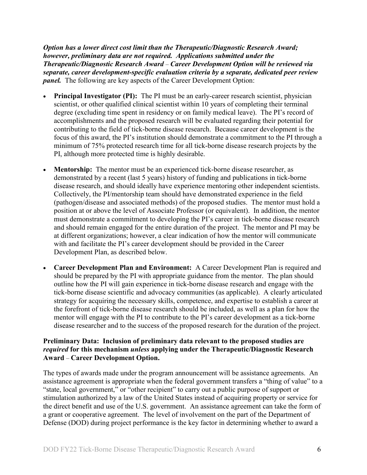*Option has a lower direct cost limit than the Therapeutic/Diagnostic Research Award; however, preliminary data are not required. Applications submitted under the Therapeutic/Diagnostic Research Award* – *Career Development Option will be reviewed via separate, career development-specific evaluation criteria by a separate, dedicated peer review panel.* The following are key aspects of the Career Development Option:

- **Principal Investigator (PI):** The PI must be an early-career research scientist, physician scientist, or other qualified clinical scientist within 10 years of completing their terminal degree (excluding time spent in residency or on family medical leave). The PI's record of accomplishments and the proposed research will be evaluated regarding their potential for contributing to the field of tick-borne disease research. Because career development is the focus of this award, the PI's institution should demonstrate a commitment to the PI through a minimum of 75% protected research time for all tick-borne disease research projects by the PI, although more protected time is highly desirable.
- **Mentorship:** The mentor must be an experienced tick-borne disease researcher, as demonstrated by a recent (last 5 years) history of funding and publications in tick-borne disease research, and should ideally have experience mentoring other independent scientists. Collectively, the PI/mentorship team should have demonstrated experience in the field (pathogen/disease and associated methods) of the proposed studies. The mentor must hold a position at or above the level of Associate Professor (or equivalent). In addition, the mentor must demonstrate a commitment to developing the PI's career in tick-borne disease research and should remain engaged for the entire duration of the project. The mentor and PI may be at different organizations; however, a clear indication of how the mentor will communicate with and facilitate the PI's career development should be provided in the Career Development Plan, as described below.
- **Career Development Plan and Environment:** A Career Development Plan is required and should be prepared by the PI with appropriate guidance from the mentor. The plan should outline how the PI will gain experience in tick-borne disease research and engage with the tick-borne disease scientific and advocacy communities (as applicable). A clearly articulated strategy for acquiring the necessary skills, competence, and expertise to establish a career at the forefront of tick-borne disease research should be included, as well as a plan for how the mentor will engage with the PI to contribute to the PI's career development as a tick-borne disease researcher and to the success of the proposed research for the duration of the project.

### **Preliminary Data: Inclusion of preliminary data relevant to the proposed studies are**  *required* **for this mechanism** *unless* **applying under the Therapeutic/Diagnostic Research Award** – **Career Development Option.**

The types of awards made under the program announcement will be assistance agreements. An assistance agreement is appropriate when the federal government transfers a "thing of value" to a "state, local government," or "other recipient" to carry out a public purpose of support or stimulation authorized by a law of the United States instead of acquiring property or service for the direct benefit and use of the U.S. government. An assistance agreement can take the form of a grant or cooperative agreement. The level of involvement on the part of the Department of Defense (DOD) during project performance is the key factor in determining whether to award a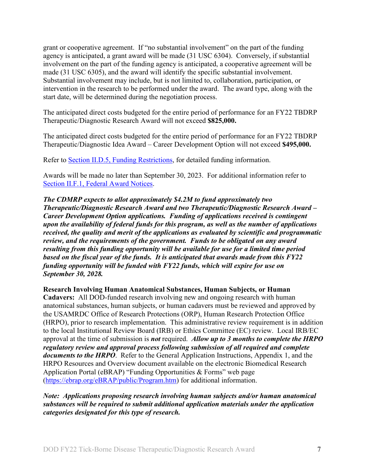grant or cooperative agreement. If "no substantial involvement" on the part of the funding agency is anticipated, a grant award will be made (31 USC 6304). Conversely, if substantial involvement on the part of the funding agency is anticipated, a cooperative agreement will be made (31 USC 6305), and the award will identify the specific substantial involvement. Substantial involvement may include, but is not limited to, collaboration, participation, or intervention in the research to be performed under the award. The award type, along with the start date, will be determined during the negotiation process.

The anticipated direct costs budgeted for the entire period of performance for an FY22 TBDRP Therapeutic/Diagnostic Research Award will not exceed **\$825,000.**

The anticipated direct costs budgeted for the entire period of performance for an FY22 TBDRP Therapeutic/Diagnostic Idea Award – Career Development Option will not exceed **\$495,000.**

Refer to **Section II.D.5, Funding Restrictions**, for detailed funding information.

Awards will be made no later than September 30, 2023. For additional information refer to [Section II.F.1, Federal Award Notices.](#page-41-1)

*The CDMRP expects to allot approximately \$4.2M to fund approximately two Therapeutic/Diagnostic Research Award and two Therapeutic/Diagnostic Research Award – Career Development Option applications. Funding of applications received is contingent upon the availability of federal funds for this program, as well as the number of applications received, the quality and merit of the applications as evaluated by scientific and programmatic review, and the requirements of the government. Funds to be obligated on any award resulting from this funding opportunity will be available for use for a limited time period based on the fiscal year of the funds. It is anticipated that awards made from this FY22 funding opportunity will be funded with FY22 funds, which will expire for use on September 30, 2028.*

**Research Involving Human Anatomical Substances, Human Subjects, or Human Cadavers:** All DOD-funded research involving new and ongoing research with human anatomical substances, human subjects, or human cadavers must be reviewed and approved by the USAMRDC Office of Research Protections (ORP), Human Research Protection Office (HRPO), prior to research implementation. This administrative review requirement is in addition to the local Institutional Review Board (IRB) or Ethics Committee (EC) review. Local IRB/EC approval at the time of submission is *not* required. *Allow up to 3 months to complete the HRPO regulatory review and approval process following submission of all required and complete documents to the HRPO*. Refer to the General Application Instructions, Appendix 1, and the HRPO Resources and Overview document available on the electronic Biomedical Research Application Portal (eBRAP) "Funding Opportunities & Forms" web page

[\(https://ebrap.org/eBRAP/public/Program.htm\)](https://ebrap.org/eBRAP/public/Program.htm) for additional information.

*Note: Applications proposing research involving human subjects and/or human anatomical substances will be required to submit additional application materials under the application categories designated for this type of research.*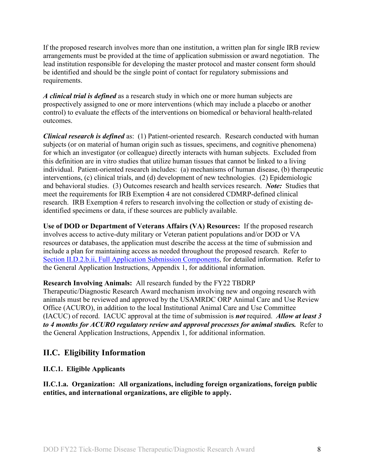If the proposed research involves more than one institution, a written plan for single IRB review arrangements must be provided at the time of application submission or award negotiation. The lead institution responsible for developing the master protocol and master consent form should be identified and should be the single point of contact for regulatory submissions and requirements.

*A clinical trial is defined* as a research study in which one or more human subjects are prospectively assigned to one or more interventions (which may include a placebo or another control) to evaluate the effects of the interventions on biomedical or behavioral health-related outcomes.

*Clinical research is defined* as: (1) Patient-oriented research. Research conducted with human subjects (or on material of human origin such as tissues, specimens, and cognitive phenomena) for which an investigator (or colleague) directly interacts with human subjects. Excluded from this definition are in vitro studies that utilize human tissues that cannot be linked to a living individual. Patient-oriented research includes: (a) mechanisms of human disease, (b) therapeutic interventions, (c) clinical trials, and (d) development of new technologies. (2) Epidemiologic and behavioral studies. (3) Outcomes research and health services research. *Note:* Studies that meet the requirements for IRB Exemption 4 are not considered CDMRP-defined clinical research. IRB Exemption 4 refers to research involving the collection or study of existing deidentified specimens or data, if these sources are publicly available.

**Use of DOD or Department of Veterans Affairs (VA) Resources:** If the proposed research involves access to active-duty military or Veteran patient populations and/or DOD or VA resources or databases, the application must describe the access at the time of submission and include a plan for maintaining access as needed throughout the proposed research. Refer to Section [II.D.2.b.ii, Full Application Submission Components,](#page-17-0) for detailed information. Refer to the General Application Instructions, Appendix 1, for additional information.

**Research Involving Animals:** All research funded by the FY22 TBDRP

Therapeutic/Diagnostic Research Award mechanism involving new and ongoing research with animals must be reviewed and approved by the USAMRDC ORP Animal Care and Use Review Office (ACURO), in addition to the local Institutional Animal Care and Use Committee (IACUC) of record. IACUC approval at the time of submission is *not* required. *Allow at least 3 to 4 months for ACURO regulatory review and approval processes for animal studies.* Refer to the General Application Instructions, Appendix 1, for additional information.

## <span id="page-7-0"></span>**II.C. Eligibility Information**

## <span id="page-7-1"></span>**II.C.1. Eligible Applicants**

**II.C.1.a. Organization: All organizations, including foreign organizations, foreign public entities, and international organizations, are eligible to apply.**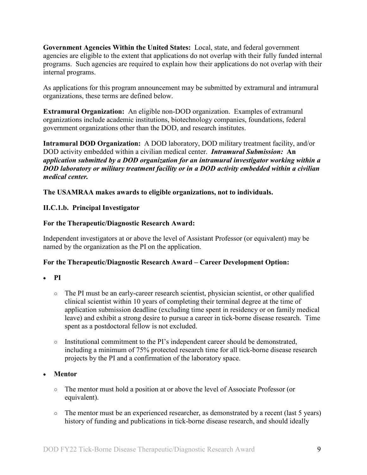**Government Agencies Within the United States:** Local, state, and federal government agencies are eligible to the extent that applications do not overlap with their fully funded internal programs. Such agencies are required to explain how their applications do not overlap with their internal programs.

As applications for this program announcement may be submitted by extramural and intramural organizations, these terms are defined below.

**Extramural Organization:** An eligible non-DOD organization. Examples of extramural organizations include academic institutions, biotechnology companies, foundations, federal government organizations other than the DOD, and research institutes.

**Intramural DOD Organization:** A DOD laboratory, DOD military treatment facility, and/or DOD activity embedded within a civilian medical center. *Intramural Submission:* **An**  *application submitted by a DOD organization for an intramural investigator working within a DOD laboratory or military treatment facility or in a DOD activity embedded within a civilian medical center.*

**The USAMRAA makes awards to eligible organizations, not to individuals.**

## **II.C.1.b. Principal Investigator**

## **For the Therapeutic/Diagnostic Research Award:**

Independent investigators at or above the level of Assistant Professor (or equivalent) may be named by the organization as the PI on the application.

## **For the Therapeutic/Diagnostic Research Award – Career Development Option:**

#### • **PI**

- The PI must be an early-career research scientist, physician scientist, or other qualified clinical scientist within 10 years of completing their terminal degree at the time of application submission deadline (excluding time spent in residency or on family medical leave) and exhibit a strong desire to pursue a career in tick-borne disease research. Time spent as a postdoctoral fellow is not excluded.
- Institutional commitment to the PI's independent career should be demonstrated, including a minimum of 75% protected research time for all tick-borne disease research projects by the PI and a confirmation of the laboratory space.

## • **Mentor**

- The mentor must hold a position at or above the level of Associate Professor (or equivalent).
- The mentor must be an experienced researcher, as demonstrated by a recent (last 5 years) history of funding and publications in tick-borne disease research, and should ideally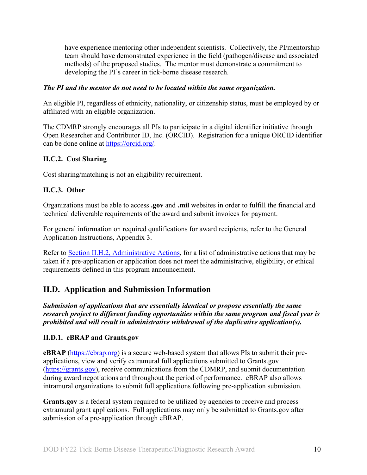have experience mentoring other independent scientists. Collectively, the PI/mentorship team should have demonstrated experience in the field (pathogen/disease and associated methods) of the proposed studies. The mentor must demonstrate a commitment to developing the PI's career in tick-borne disease research.

### *The PI and the mentor do not need to be located within the same organization.*

An eligible PI, regardless of ethnicity, nationality, or citizenship status, must be employed by or affiliated with an eligible organization.

The CDMRP strongly encourages all PIs to participate in a digital identifier initiative through Open Researcher and Contributor ID, Inc. (ORCID). Registration for a unique ORCID identifier can be done online at [https://orcid.org/.](https://orcid.org/)

#### <span id="page-9-0"></span>**II.C.2. Cost Sharing**

Cost sharing/matching is not an eligibility requirement.

#### <span id="page-9-1"></span>**II.C.3. Other**

Organizations must be able to access **.gov** and **.mil** websites in order to fulfill the financial and technical deliverable requirements of the award and submit invoices for payment.

For general information on required qualifications for award recipients, refer to the General Application Instructions, Appendix 3.

Refer to [Section II.H.2, Administrative Actions,](#page-44-2) for a list of administrative actions that may be taken if a pre-application or application does not meet the administrative, eligibility, or ethical requirements defined in this program announcement.

## <span id="page-9-2"></span>**II.D. Application and Submission Information**

*Submission of applications that are essentially identical or propose essentially the same research project to different funding opportunities within the same program and fiscal year is prohibited and will result in administrative withdrawal of the duplicative application(s).*

## <span id="page-9-3"></span>**II.D.1. eBRAP and Grants.gov**

**eBRAP** [\(https://ebrap.org\)](https://ebrap.org/) is a secure web-based system that allows PIs to submit their preapplications, view and verify extramural full applications submitted to Grants.gov [\(https://grants.gov\)](https://grants.gov/), receive communications from the CDMRP, and submit documentation during award negotiations and throughout the period of performance. eBRAP also allows intramural organizations to submit full applications following pre-application submission.

Grants.gov is a federal system required to be utilized by agencies to receive and process extramural grant applications. Full applications may only be submitted to Grants.gov after submission of a pre-application through eBRAP.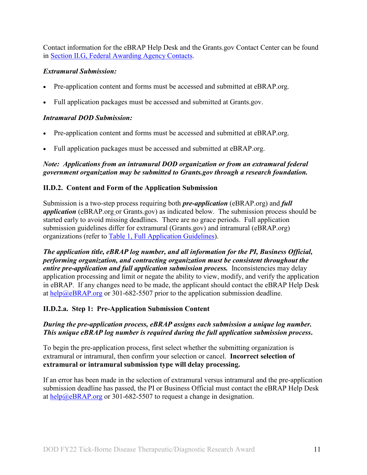Contact information for the eBRAP Help Desk and the Grants.gov Contact Center can be found in [Section II.G, Federal Awarding Agency Contacts.](#page-43-0)

## *Extramural Submission:*

- Pre-application content and forms must be accessed and submitted at eBRAP.org.
- Full application packages must be accessed and submitted at Grants.gov.

## *Intramural DOD Submission:*

- Pre-application content and forms must be accessed and submitted at eBRAP.org.
- Full application packages must be accessed and submitted at eBRAP.org.

## *Note: Applications from an intramural DOD organization or from an extramural federal government organization may be submitted to Grants.gov through a research foundation.*

## <span id="page-10-0"></span>**II.D.2. Content and Form of the Application Submission**

Submission is a two-step process requiring both *pre-application* (eBRAP.org) and *full application* (eBRAP.org or Grants.gov) as indicated below. The submission process should be started early to avoid missing deadlines. There are no grace periods. Full application submission guidelines differ for extramural (Grants.gov) and intramural (eBRAP.org) organizations (refer to [Table 1, Full Application Guidelines\)](#page-15-0).

*The application title, eBRAP log number, and all information for the PI, Business Official, performing organization, and contracting organization must be consistent throughout the entire pre-application and full application submission process.* Inconsistencies may delay application processing and limit or negate the ability to view, modify, and verify the application in eBRAP. If any changes need to be made, the applicant should contact the eBRAP Help Desk at  $\frac{help@eBRAP.org}{$  or 301-682-5507 prior to the application submission deadline.

## **II.D.2.a. Step 1: Pre-Application Submission Content**

## *During the pre-application process, eBRAP assigns each submission a unique log number. This unique eBRAP log number is required during the full application submission process***.**

To begin the pre-application process, first select whether the submitting organization is extramural or intramural, then confirm your selection or cancel. **Incorrect selection of extramural or intramural submission type will delay processing.**

If an error has been made in the selection of extramural versus intramural and the pre-application submission deadline has passed, the PI or Business Official must contact the eBRAP Help Desk at [help@eBRAP.org](mailto:help@eBRAP.org) or 301-682-5507 to request a change in designation.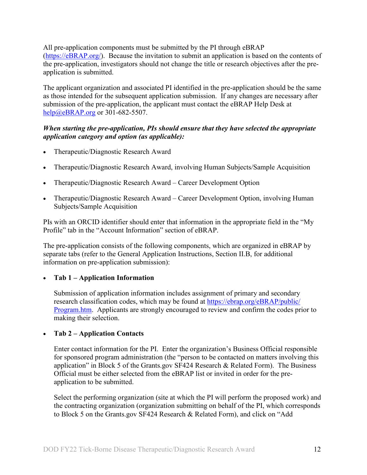All pre-application components must be submitted by the PI through eBRAP [\(https://eBRAP.org/\)](https://ebrap.org/). Because the invitation to submit an application is based on the contents of the pre-application, investigators should not change the title or research objectives after the preapplication is submitted.

The applicant organization and associated PI identified in the pre-application should be the same as those intended for the subsequent application submission. If any changes are necessary after submission of the pre-application, the applicant must contact the eBRAP Help Desk at [help@eBRAP.org](mailto:help@eBRAP.org) or 301-682-5507.

## *When starting the pre-application, PIs should ensure that they have selected the appropriate application category and option (as applicable):*

- Therapeutic/Diagnostic Research Award
- Therapeutic/Diagnostic Research Award, involving Human Subjects/Sample Acquisition
- Therapeutic/Diagnostic Research Award Career Development Option
- Therapeutic/Diagnostic Research Award Career Development Option, involving Human Subjects/Sample Acquisition

PIs with an ORCID identifier should enter that information in the appropriate field in the "My Profile" tab in the "Account Information" section of eBRAP.

The pre-application consists of the following components, which are organized in eBRAP by separate tabs (refer to the General Application Instructions, Section II.B, for additional information on pre-application submission):

## • **Tab 1 – Application Information**

Submission of application information includes assignment of primary and secondary research classification codes, which may be found at [https://ebrap.org/eBRAP/public/](https://ebrap.org/eBRAP/public/Program.htm) [Program.htm.](https://ebrap.org/eBRAP/public/Program.htm) Applicants are strongly encouraged to review and confirm the codes prior to making their selection.

## • **Tab 2 – Application Contacts**

Enter contact information for the PI. Enter the organization's Business Official responsible for sponsored program administration (the "person to be contacted on matters involving this application" in Block 5 of the Grants.gov SF424 Research & Related Form). The Business Official must be either selected from the eBRAP list or invited in order for the preapplication to be submitted.

Select the performing organization (site at which the PI will perform the proposed work) and the contracting organization (organization submitting on behalf of the PI, which corresponds to Block 5 on the Grants.gov SF424 Research & Related Form), and click on "Add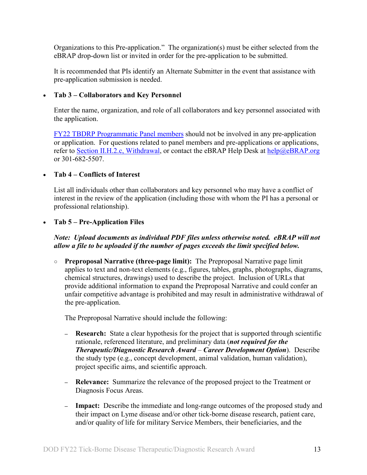Organizations to this Pre-application." The organization(s) must be either selected from the eBRAP drop-down list or invited in order for the pre-application to be submitted.

It is recommended that PIs identify an Alternate Submitter in the event that assistance with pre-application submission is needed.

## • **Tab 3 – Collaborators and Key Personnel**

Enter the name, organization, and role of all collaborators and key personnel associated with the application.

[FY22 TBDRP Programmatic Panel members](https://cdmrp.army.mil/tbdrp/panels/panels22) should not be involved in any pre-application or application. For questions related to panel members and pre-applications or applications, refer to Section [II.H.2.c, Withdrawal,](#page-44-3) or contact the eBRAP Help Desk at [help@eBRAP.org](mailto:help@eBRAP.org) or 301-682-5507.

## • **Tab 4 – Conflicts of Interest**

List all individuals other than collaborators and key personnel who may have a conflict of interest in the review of the application (including those with whom the PI has a personal or professional relationship).

## • **Tab 5 – Pre-Application Files**

## *Note: Upload documents as individual PDF files unless otherwise noted. eBRAP will not allow a file to be uploaded if the number of pages exceeds the limit specified below.*

**○ Preproposal Narrative (three-page limit):** The Preproposal Narrative page limit applies to text and non-text elements (e.g., figures, tables, graphs, photographs, diagrams, chemical structures, drawings) used to describe the project. Inclusion of URLs that provide additional information to expand the Preproposal Narrative and could confer an unfair competitive advantage is prohibited and may result in administrative withdrawal of the pre-application.

The Preproposal Narrative should include the following:

- **– Research:** State a clear hypothesis for the project that is supported through scientific rationale, referenced literature, and preliminary data (*not required for the Therapeutic/Diagnostic Research Award* – *Career Development Option*). Describe the study type (e.g., concept development, animal validation, human validation), project specific aims, and scientific approach.
- **– Relevance:** Summarize the relevance of the proposed project to the Treatment or Diagnosis Focus Areas.
- **– Impact:** Describe the immediate and long-range outcomes of the proposed study and their impact on Lyme disease and/or other tick-borne disease research, patient care, and/or quality of life for military Service Members, their beneficiaries, and the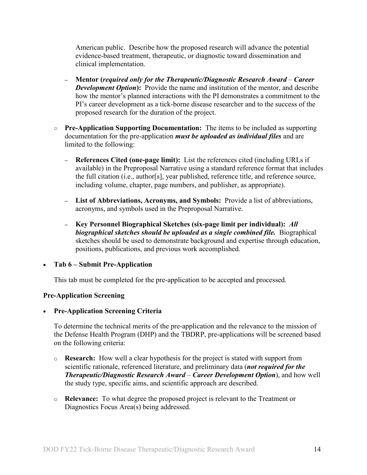American public. Describe how the proposed research will advance the potential evidence-based treatment, therapeutic, or diagnostic toward dissemination and clinical implementation.

- **– Mentor (***required only for the Therapeutic/Diagnostic Research Award Career Development Option*): Provide the name and institution of the mentor, and describe how the mentor's planned interactions with the PI demonstrates a commitment to the PI's career development as a tick-borne disease researcher and to the success of the proposed research for the duration of the project.
- **○ Pre-Application Supporting Documentation:** The items to be included as supporting documentation for the pre-application *must be uploaded as individual files* and are limited to the following:
	- **– References Cited (one-page limit):** List the references cited (including URLs if available) in the Preproposal Narrative using a standard reference format that includes the full citation (i.e., author[s], year published, reference title, and reference source, including volume, chapter, page numbers, and publisher, as appropriate).
	- **– List of Abbreviations, Acronyms, and Symbols:** Provide a list of abbreviations, acronyms, and symbols used in the Preproposal Narrative.
	- **– Key Personnel Biographical Sketches (six-page limit per individual):** *All biographical sketches should be uploaded as a single combined file.* Biographical sketches should be used to demonstrate background and expertise through education, positions, publications, and previous work accomplished.

• **Tab 6 – Submit Pre-Application**

This tab must be completed for the pre-application to be accepted and processed.

## **Pre-Application Screening**

## • **Pre-Application Screening Criteria**

To determine the technical merits of the pre-application and the relevance to the mission of the Defense Health Program (DHP) and the TBDRP, pre-applications will be screened based on the following criteria:

- o **Research:** How well a clear hypothesis for the project is stated with support from scientific rationale, referenced literature, and preliminary data (*not required for the Therapeutic/Diagnostic Research Award* – *Career Development Option*), and how well the study type, specific aims, and scientific approach are described.
- o **Relevance:** To what degree the proposed project is relevant to the Treatment or Diagnostics Focus Area(s) being addressed.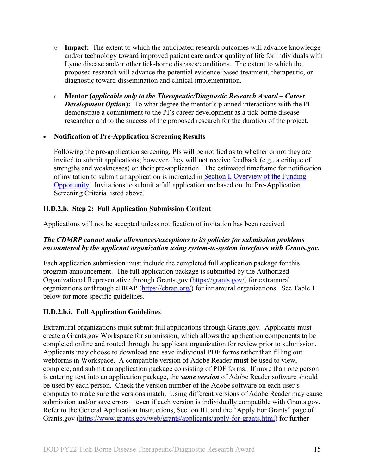- o **Impact:** The extent to which the anticipated research outcomes will advance knowledge and/or technology toward improved patient care and/or quality of life for individuals with Lyme disease and/or other tick-borne diseases/conditions. The extent to which the proposed research will advance the potential evidence-based treatment, therapeutic, or diagnostic toward dissemination and clinical implementation.
- o **Mentor (***applicable only to the Therapeutic/Diagnostic Research Award Career Development Option*): To what degree the mentor's planned interactions with the PI demonstrate a commitment to the PI's career development as a tick-borne disease researcher and to the success of the proposed research for the duration of the project.

## • **Notification of Pre-Application Screening Results**

Following the pre-application screening, PIs will be notified as to whether or not they are invited to submit applications; however, they will not receive feedback (e.g., a critique of strengths and weaknesses) on their pre-application. The estimated timeframe for notification of invitation to submit an application is indicated in Section [I, Overview of the Funding](#page-0-1)  [Opportunity.](#page-0-1) Invitations to submit a full application are based on the Pre-Application Screening Criteria listed above.

## **II.D.2.b. Step 2: Full Application Submission Content**

Applications will not be accepted unless notification of invitation has been received.

## *The CDMRP cannot make allowances/exceptions to its policies for submission problems encountered by the applicant organization using system-to-system interfaces with Grants.gov.*

Each application submission must include the completed full application package for this program announcement. The full application package is submitted by the Authorized Organizational Representative through Grants.gov [\(https://grants.gov/\)](https://www.grants.gov/) for extramural organizations or through eBRAP [\(https://ebrap.org/\)](https://ebrap.org/) for intramural organizations. See Table 1 below for more specific guidelines.

## **II.D.2.b.i. Full Application Guidelines**

Extramural organizations must submit full applications through Grants.gov. Applicants must create a Grants.gov Workspace for submission, which allows the application components to be completed online and routed through the applicant organization for review prior to submission. Applicants may choose to download and save individual PDF forms rather than filling out webforms in Workspace. A compatible version of Adobe Reader **must** be used to view, complete, and submit an application package consisting of PDF forms. If more than one person is entering text into an application package, the *same version* of Adobe Reader software should be used by each person. Check the version number of the Adobe software on each user's computer to make sure the versions match. Using different versions of Adobe Reader may cause submission and/or save errors – even if each version is individually compatible with Grants.gov. Refer to the General Application Instructions, Section III, and the "Apply For Grants" page of Grants.gov [\(https://www.grants.gov/web/grants/applicants/apply-for-grants.html\)](https://www.grants.gov/web/grants/applicants/apply-for-grants.html) for further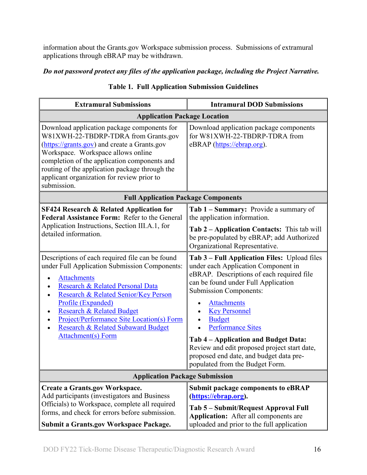information about the Grants.gov Workspace submission process. Submissions of extramural applications through eBRAP may be withdrawn.

## <span id="page-15-0"></span>*Do not password protect any files of the application package, including the Project Narrative.*

| <b>Extramural Submissions</b>                                                                                                                                                                                                                                                                                                                                                           | <b>Intramural DOD Submissions</b>                                                                                                                                                                                                                                                                                                                                                                                                                                         |  |  |
|-----------------------------------------------------------------------------------------------------------------------------------------------------------------------------------------------------------------------------------------------------------------------------------------------------------------------------------------------------------------------------------------|---------------------------------------------------------------------------------------------------------------------------------------------------------------------------------------------------------------------------------------------------------------------------------------------------------------------------------------------------------------------------------------------------------------------------------------------------------------------------|--|--|
| <b>Application Package Location</b>                                                                                                                                                                                                                                                                                                                                                     |                                                                                                                                                                                                                                                                                                                                                                                                                                                                           |  |  |
| Download application package components for<br>W81XWH-22-TBDRP-TDRA from Grants.gov<br>(https://grants.gov) and create a Grants.gov<br>Workspace. Workspace allows online<br>completion of the application components and<br>routing of the application package through the<br>applicant organization for review prior to<br>submission.                                                | Download application package components<br>for W81XWH-22-TBDRP-TDRA from<br>eBRAP (https://ebrap.org).                                                                                                                                                                                                                                                                                                                                                                    |  |  |
| <b>Full Application Package Components</b>                                                                                                                                                                                                                                                                                                                                              |                                                                                                                                                                                                                                                                                                                                                                                                                                                                           |  |  |
| <b>SF424 Research &amp; Related Application for</b><br>Federal Assistance Form: Refer to the General<br>Application Instructions, Section III.A.1, for<br>detailed information.                                                                                                                                                                                                         | Tab 1 – Summary: Provide a summary of<br>the application information.<br><b>Tab 2 – Application Contacts:</b> This tab will<br>be pre-populated by eBRAP; add Authorized<br>Organizational Representative.                                                                                                                                                                                                                                                                |  |  |
| Descriptions of each required file can be found<br>under Full Application Submission Components:<br><b>Attachments</b><br>Research & Related Personal Data<br>Research & Related Senior/Key Person<br>Profile (Expanded)<br><b>Research &amp; Related Budget</b><br><b>Project/Performance Site Location(s) Form</b><br>Research & Related Subaward Budget<br><b>Attachment(s)</b> Form | Tab 3 – Full Application Files: Upload files<br>under each Application Component in<br>eBRAP. Descriptions of each required file<br>can be found under Full Application<br><b>Submission Components:</b><br><b>Attachments</b><br><b>Key Personnel</b><br><b>Budget</b><br><b>Performance Sites</b><br>Tab 4 – Application and Budget Data:<br>Review and edit proposed project start date,<br>proposed end date, and budget data pre-<br>populated from the Budget Form. |  |  |
| <b>Application Package Submission</b>                                                                                                                                                                                                                                                                                                                                                   |                                                                                                                                                                                                                                                                                                                                                                                                                                                                           |  |  |
| Create a Grants.gov Workspace.<br>Add participants (investigators and Business<br>Officials) to Workspace, complete all required<br>forms, and check for errors before submission.<br><b>Submit a Grants.gov Workspace Package.</b>                                                                                                                                                     | <b>Submit package components to eBRAP</b><br>(https://ebrap.org).<br>Tab 5 – Submit/Request Approval Full<br><b>Application:</b> After all components are<br>uploaded and prior to the full application                                                                                                                                                                                                                                                                   |  |  |

## **Table 1. Full Application Submission Guidelines**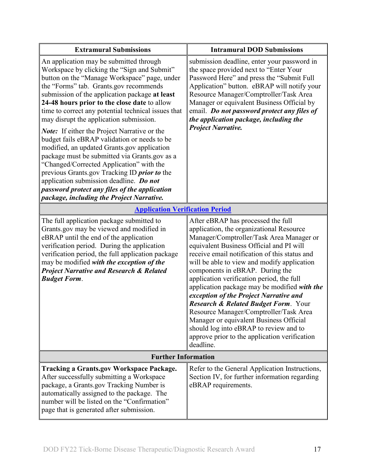| <b>Extramural Submissions</b>                                                                                                                                                                                                                                                                                                                                                                                                                                                                                                                                                                                                                                                                                                                                                                                                           | <b>Intramural DOD Submissions</b>                                                                                                                                                                                                                                                                                                                                                                                                                                                                                                                                                                                                                                                                |  |
|-----------------------------------------------------------------------------------------------------------------------------------------------------------------------------------------------------------------------------------------------------------------------------------------------------------------------------------------------------------------------------------------------------------------------------------------------------------------------------------------------------------------------------------------------------------------------------------------------------------------------------------------------------------------------------------------------------------------------------------------------------------------------------------------------------------------------------------------|--------------------------------------------------------------------------------------------------------------------------------------------------------------------------------------------------------------------------------------------------------------------------------------------------------------------------------------------------------------------------------------------------------------------------------------------------------------------------------------------------------------------------------------------------------------------------------------------------------------------------------------------------------------------------------------------------|--|
| An application may be submitted through<br>Workspace by clicking the "Sign and Submit"<br>button on the "Manage Workspace" page, under<br>the "Forms" tab. Grants.gov recommends<br>submission of the application package at least<br>24-48 hours prior to the close date to allow<br>time to correct any potential technical issues that<br>may disrupt the application submission.<br><b>Note:</b> If either the Project Narrative or the<br>budget fails eBRAP validation or needs to be<br>modified, an updated Grants.gov application<br>package must be submitted via Grants.gov as a<br>"Changed/Corrected Application" with the<br>previous Grants.gov Tracking ID <i>prior to</i> the<br>application submission deadline. Do not<br>password protect any files of the application<br>package, including the Project Narrative. | submission deadline, enter your password in<br>the space provided next to "Enter Your<br>Password Here" and press the "Submit Full<br>Application" button. eBRAP will notify your<br>Resource Manager/Comptroller/Task Area<br>Manager or equivalent Business Official by<br>email. Do not password protect any files of<br>the application package, including the<br><b>Project Narrative.</b>                                                                                                                                                                                                                                                                                                  |  |
| <b>Application Verification Period</b>                                                                                                                                                                                                                                                                                                                                                                                                                                                                                                                                                                                                                                                                                                                                                                                                  |                                                                                                                                                                                                                                                                                                                                                                                                                                                                                                                                                                                                                                                                                                  |  |
| The full application package submitted to<br>Grants.gov may be viewed and modified in<br>eBRAP until the end of the application<br>verification period. During the application<br>verification period, the full application package<br>may be modified with the exception of the<br><b>Project Narrative and Research &amp; Related</b><br><b>Budget Form.</b>                                                                                                                                                                                                                                                                                                                                                                                                                                                                          | After eBRAP has processed the full<br>application, the organizational Resource<br>Manager/Comptroller/Task Area Manager or<br>equivalent Business Official and PI will<br>receive email notification of this status and<br>will be able to view and modify application<br>components in eBRAP. During the<br>application verification period, the full<br>application package may be modified with the<br>exception of the Project Narrative and<br><b>Research &amp; Related Budget Form. Your</b><br>Resource Manager/Comptroller/Task Area<br>Manager or equivalent Business Official<br>should log into eBRAP to review and to<br>approve prior to the application verification<br>deadline. |  |
| <b>Further Information</b>                                                                                                                                                                                                                                                                                                                                                                                                                                                                                                                                                                                                                                                                                                                                                                                                              |                                                                                                                                                                                                                                                                                                                                                                                                                                                                                                                                                                                                                                                                                                  |  |
| <b>Tracking a Grants.gov Workspace Package.</b><br>After successfully submitting a Workspace<br>package, a Grants.gov Tracking Number is<br>automatically assigned to the package. The<br>number will be listed on the "Confirmation"<br>page that is generated after submission.                                                                                                                                                                                                                                                                                                                                                                                                                                                                                                                                                       | Refer to the General Application Instructions,<br>Section IV, for further information regarding<br>eBRAP requirements.                                                                                                                                                                                                                                                                                                                                                                                                                                                                                                                                                                           |  |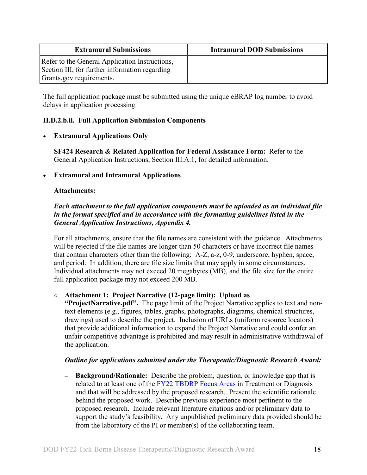| <b>Extramural Submissions</b>                                                                                                | <b>Intramural DOD Submissions</b> |
|------------------------------------------------------------------------------------------------------------------------------|-----------------------------------|
| Refer to the General Application Instructions,<br>Section III, for further information regarding<br>Grants.gov requirements. |                                   |

The full application package must be submitted using the unique eBRAP log number to avoid delays in application processing.

#### <span id="page-17-0"></span>**II.D.2.b.ii. Full Application Submission Components**

#### • **Extramural Applications Only**

**SF424 Research & Related Application for Federal Assistance Form:** Refer to the General Application Instructions, Section III.A.1, for detailed information.

#### • **Extramural and Intramural Applications**

#### <span id="page-17-1"></span>**Attachments:**

## *Each attachment to the full application components must be uploaded as an individual file in the format specified and in accordance with the formatting guidelines listed in the General Application Instructions, Appendix 4.*

For all attachments, ensure that the file names are consistent with the guidance. Attachments will be rejected if the file names are longer than 50 characters or have incorrect file names that contain characters other than the following: A-Z, a-z, 0-9, underscore, hyphen, space, and period. In addition, there are file size limits that may apply in some circumstances. Individual attachments may not exceed 20 megabytes (MB), and the file size for the entire full application package may not exceed 200 MB.

## ○ **Attachment 1: Project Narrative (12-page limit): Upload as**

**"ProjectNarrative.pdf".** The page limit of the Project Narrative applies to text and nontext elements (e.g., figures, tables, graphs, photographs, diagrams, chemical structures, drawings) used to describe the project. Inclusion of URLs (uniform resource locators) that provide additional information to expand the Project Narrative and could confer an unfair competitive advantage is prohibited and may result in administrative withdrawal of the application.

#### *Outline for applications submitted under the Therapeutic/Diagnostic Research Award:*

– **Background/Rationale:** Describe the problem, question, or knowledge gap that is related to at least one of the [FY22 TBDRP Focus Areas](#page-2-3) in Treatment or Diagnosis and that will be addressed by the proposed research. Present the scientific rationale behind the proposed work. Describe previous experience most pertinent to the proposed research. Include relevant literature citations and/or preliminary data to support the study's feasibility. Any unpublished preliminary data provided should be from the laboratory of the PI or member(s) of the collaborating team.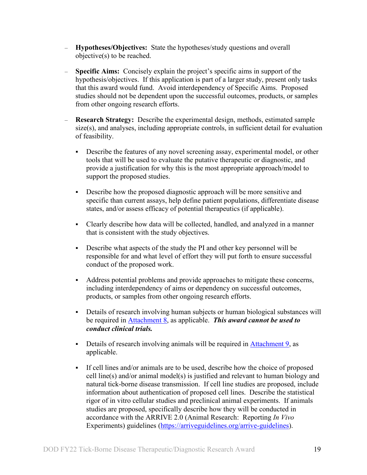- **Hypotheses/Objectives:** State the hypotheses/study questions and overall objective(s) to be reached.
- **Specific Aims:**Concisely explain the project's specific aims in support of the hypothesis/objectives. If this application is part of a larger study, present only tasks that this award would fund. Avoid interdependency of Specific Aims. Proposed studies should not be dependent upon the successful outcomes, products, or samples from other ongoing research efforts.
- **Research Strategy:**Describe the experimental design, methods, estimated sample size(s), and analyses, including appropriate controls, in sufficient detail for evaluation of feasibility.
	- Describe the features of any novel screening assay, experimental model, or other tools that will be used to evaluate the putative therapeutic or diagnostic, and provide a justification for why this is the most appropriate approach/model to support the proposed studies.
	- Describe how the proposed diagnostic approach will be more sensitive and specific than current assays, help define patient populations, differentiate disease states, and/or assess efficacy of potential therapeutics (if applicable).
	- Clearly describe how data will be collected, handled, and analyzed in a manner that is consistent with the study objectives.
	- Describe what aspects of the study the PI and other key personnel will be responsible for and what level of effort they will put forth to ensure successful conduct of the proposed work.
	- Address potential problems and provide approaches to mitigate these concerns, including interdependency of aims or dependency on successful outcomes, products, or samples from other ongoing research efforts.
	- Details of research involving human subjects or human biological substances will be required in [Attachment 8,](#page-26-0) as applicable. *This award cannot be used to conduct clinical trials.*
	- Details of research involving animals will be required in  $Attentionment 9$ , as</u> applicable.
	- If cell lines and/or animals are to be used, describe how the choice of proposed cell line(s) and/or animal model(s) is justified and relevant to human biology and natural tick-borne disease transmission. If cell line studies are proposed, include information about authentication of proposed cell lines. Describe the statistical rigor of in vitro cellular studies and preclinical animal experiments. If animals studies are proposed, specifically describe how they will be conducted in accordance with the ARRIVE 2.0 (Animal Research: Reporting *In Vivo* Experiments) guidelines [\(https://arriveguidelines.org/arrive-guidelines\)](https://arriveguidelines.org/arrive-guidelines).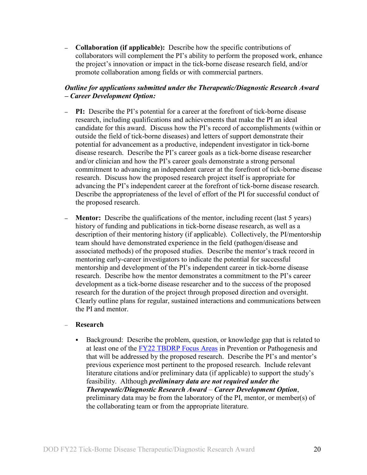**– Collaboration (if applicable):** Describe how the specific contributions of collaborators will complement the PI's ability to perform the proposed work, enhance the project's innovation or impact in the tick-borne disease research field, and/or promote collaboration among fields or with commercial partners.

## *Outline for applications submitted under the Therapeutic/Diagnostic Research Award – Career Development Option:*

- **– PI:** Describe the PI's potential for a career at the forefront of tick-borne disease research, including qualifications and achievements that make the PI an ideal candidate for this award. Discuss how the PI's record of accomplishments (within or outside the field of tick-borne diseases) and letters of support demonstrate their potential for advancement as a productive, independent investigator in tick-borne disease research. Describe the PI's career goals as a tick-borne disease researcher and/or clinician and how the PI's career goals demonstrate a strong personal commitment to advancing an independent career at the forefront of tick-borne disease research. Discuss how the proposed research project itself is appropriate for advancing the PI's independent career at the forefront of tick-borne disease research. Describe the appropriateness of the level of effort of the PI for successful conduct of the proposed research.
- **– Mentor:**Describe the qualifications of the mentor, including recent (last 5 years) history of funding and publications in tick-borne disease research, as well as a description of their mentoring history (if applicable). Collectively, the PI/mentorship team should have demonstrated experience in the field (pathogen/disease and associated methods) of the proposed studies. Describe the mentor's track record in mentoring early-career investigators to indicate the potential for successful mentorship and development of the PI's independent career in tick-borne disease research. Describe how the mentor demonstrates a commitment to the PI's career development as a tick-borne disease researcher and to the success of the proposed research for the duration of the project through proposed direction and oversight. Clearly outline plans for regular, sustained interactions and communications between the PI and mentor.

#### – **Research**

Background: Describe the problem, question, or knowledge gap that is related to at least one of the [FY22 TBDRP Focus Areas](#page-2-3) in Prevention or Pathogenesis and that will be addressed by the proposed research. Describe the PI's and mentor's previous experience most pertinent to the proposed research. Include relevant literature citations and/or preliminary data (if applicable) to support the study's feasibility. Although *preliminary data are not required under the Therapeutic/Diagnostic Research Award* – *Career Development Option*, preliminary data may be from the laboratory of the PI, mentor, or member(s) of the collaborating team or from the appropriate literature.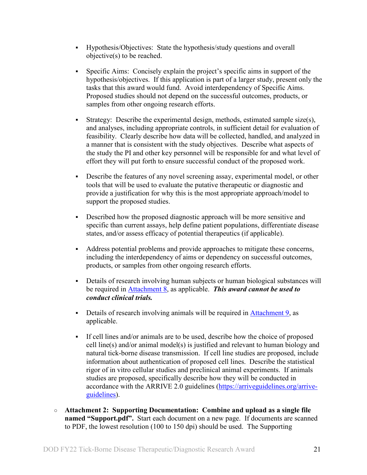- Hypothesis/Objectives:State the hypothesis/study questions and overall objective(s) to be reached.
- Specific Aims: Concisely explain the project's specific aims in support of the hypothesis/objectives. If this application is part of a larger study, present only the tasks that this award would fund. Avoid interdependency of Specific Aims. Proposed studies should not depend on the successful outcomes, products, or samples from other ongoing research efforts.
- Strategy: Describe the experimental design, methods, estimated sample size(s), and analyses, including appropriate controls, in sufficient detail for evaluation of feasibility. Clearly describe how data will be collected, handled, and analyzed in a manner that is consistent with the study objectives. Describe what aspects of the study the PI and other key personnel will be responsible for and what level of effort they will put forth to ensure successful conduct of the proposed work.
- Describe the features of any novel screening assay, experimental model, or other tools that will be used to evaluate the putative therapeutic or diagnostic and provide a justification for why this is the most appropriate approach/model to support the proposed studies.
- Described how the proposed diagnostic approach will be more sensitive and specific than current assays, help define patient populations, differentiate disease states, and/or assess efficacy of potential therapeutics (if applicable).
- Address potential problems and provide approaches to mitigate these concerns, including the interdependency of aims or dependency on successful outcomes, products, or samples from other ongoing research efforts.
- Details of research involving human subjects or human biological substances will be required in [Attachment 8,](#page-26-0) as applicable. *This award cannot be used to conduct clinical trials.*
- Details of research involving animals will be required in [Attachment 9,](#page-27-0) as applicable.
- If cell lines and/or animals are to be used, describe how the choice of proposed cell line(s) and/or animal model(s) is justified and relevant to human biology and natural tick-borne disease transmission. If cell line studies are proposed, include information about authentication of proposed cell lines. Describe the statistical rigor of in vitro cellular studies and preclinical animal experiments. If animals studies are proposed, specifically describe how they will be conducted in accordance with the ARRIVE 2.0 guidelines [\(https://arriveguidelines.org/arrive](https://arriveguidelines.org/arrive-guidelines)[guidelines\)](https://arriveguidelines.org/arrive-guidelines).
- **Attachment 2: Supporting Documentation: Combine and upload as a single file named "Support.pdf".** Start each document on a new page. If documents are scanned to PDF, the lowest resolution (100 to 150 dpi) should be used. The Supporting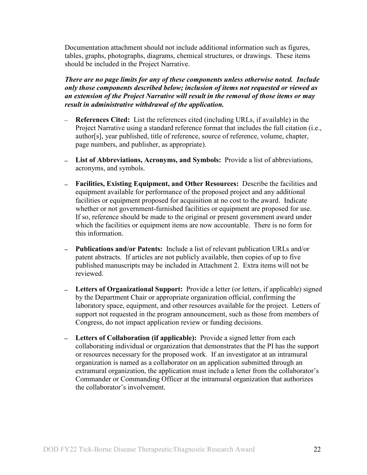Documentation attachment should not include additional information such as figures, tables, graphs, photographs, diagrams, chemical structures, or drawings. These items should be included in the Project Narrative.

*There are no page limits for any of these components unless otherwise noted. Include only those components described below; inclusion of items not requested or viewed as an extension of the Project Narrative will result in the removal of those items or may result in administrative withdrawal of the application.*

- **References Cited:** List the references cited (including URLs, if available) in the Project Narrative using a standard reference format that includes the full citation (i.e., author[s], year published, title of reference, source of reference, volume, chapter, page numbers, and publisher, as appropriate).
- **List of Abbreviations, Acronyms, and Symbols:** Provide a list of abbreviations, acronyms, and symbols.
- **Facilities, Existing Equipment, and Other Resources:** Describe the facilities and equipment available for performance of the proposed project and any additional facilities or equipment proposed for acquisition at no cost to the award. Indicate whether or not government-furnished facilities or equipment are proposed for use. If so, reference should be made to the original or present government award under which the facilities or equipment items are now accountable. There is no form for this information.
- **Publications and/or Patents:** Include a list of relevant publication URLs and/or patent abstracts. If articles are not publicly available, then copies of up to five published manuscripts may be included in Attachment 2. Extra items will not be reviewed.
- **Letters of Organizational Support:** Provide a letter (or letters, if applicable) signed by the Department Chair or appropriate organization official, confirming the laboratory space, equipment, and other resources available for the project. Letters of support not requested in the program announcement, such as those from members of Congress, do not impact application review or funding decisions.
- **Letters of Collaboration (if applicable):** Provide a signed letter from each collaborating individual or organization that demonstrates that the PI has the support or resources necessary for the proposed work. If an investigator at an intramural organization is named as a collaborator on an application submitted through an extramural organization, the application must include a letter from the collaborator's Commander or Commanding Officer at the intramural organization that authorizes the collaborator's involvement.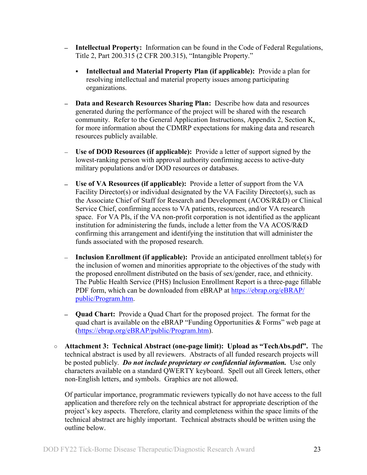- **Intellectual Property:** Information can be found in the Code of Federal Regulations, Title 2, Part 200.315 (2 CFR 200.315), "Intangible Property."
	- **Intellectual and Material Property Plan (if applicable):** Provide a plan for resolving intellectual and material property issues among participating organizations.
- **Data and Research Resources Sharing Plan:** Describe how data and resources generated during the performance of the project will be shared with the research community. Refer to the General Application Instructions, Appendix 2, Section K, for more information about the CDMRP expectations for making data and research resources publicly available.
- **Use of DOD Resources (if applicable):** Provide a letter of support signed by the lowest-ranking person with approval authority confirming access to active-duty military populations and/or DOD resources or databases.
- **Use of VA Resources (if applicable):** Provide a letter of support from the VA Facility Director(s) or individual designated by the VA Facility Director(s), such as the Associate Chief of Staff for Research and Development (ACOS/R&D) or Clinical Service Chief, confirming access to VA patients, resources, and/or VA research space. For VA PIs, if the VA non-profit corporation is not identified as the applicant institution for administering the funds, include a letter from the VA ACOS/R&D confirming this arrangement and identifying the institution that will administer the funds associated with the proposed research.
- **Inclusion Enrollment (if applicable):** Provide an anticipated enrollment table(s) for the inclusion of women and minorities appropriate to the objectives of the study with the proposed enrollment distributed on the basis of sex/gender, race, and ethnicity. The Public Health Service (PHS) Inclusion Enrollment Report is a three-page fillable PDF form, which can be downloaded from eBRAP at [https://ebrap.org/eBRAP/](https://ebrap.org/eBRAP/public/Program.htm) [public/Program.htm.](https://ebrap.org/eBRAP/public/Program.htm)
- **Quad Chart:** Provide a Quad Chart for the proposed project. The format for the quad chart is available on the eBRAP "Funding Opportunities & Forms" web page at [\(https://ebrap.org/eBRAP/public/Program.htm\)](https://ebrap.org/eBRAP/public/Program.htm).
- **Attachment 3: Technical Abstract (one-page limit): Upload as "TechAbs.pdf".** The technical abstract is used by all reviewers. Abstracts of all funded research projects will be posted publicly. *Do not include proprietary or confidential information.* Use only characters available on a standard QWERTY keyboard. Spell out all Greek letters, other non-English letters, and symbols. Graphics are not allowed.

Of particular importance, programmatic reviewers typically do not have access to the full application and therefore rely on the technical abstract for appropriate description of the project's key aspects. Therefore, clarity and completeness within the space limits of the technical abstract are highly important. Technical abstracts should be written using the outline below.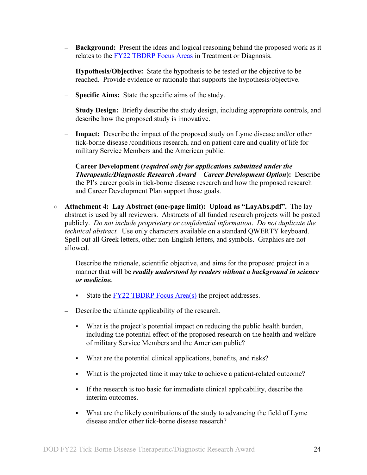- **Background:** Present the ideas and logical reasoning behind the proposed work as it relates to the [FY22 TBDRP Focus Areas](#page-2-3) in Treatment or Diagnosis.
- **Hypothesis/Objective:** State the hypothesis to be tested or the objective to be reached. Provide evidence or rationale that supports the hypothesis/objective.
- **Specific Aims:** State the specific aims of the study.
- **Study Design:** Briefly describe the study design, including appropriate controls, and describe how the proposed study is innovative.
- **Impact:** Describe the impact of the proposed study on Lyme disease and/or other tick-borne disease /conditions research, and on patient care and quality of life for military Service Members and the American public.
- **Career Development (***required only for applications submitted under the Therapeutic/Diagnostic Research Award* – *Career Development Option***):** Describe the PI's career goals in tick-borne disease research and how the proposed research and Career Development Plan support those goals.
- **Attachment 4: Lay Abstract (one-page limit): Upload as "LayAbs.pdf".** The lay abstract is used by all reviewers. Abstracts of all funded research projects will be posted publicly. *Do not include proprietary or confidential information*. *Do not duplicate the technical abstract.* Use only characters available on a standard QWERTY keyboard. Spell out all Greek letters, other non-English letters, and symbols. Graphics are not allowed.
	- Describe the rationale, scientific objective, and aims for the proposed project in a manner that will be *readily understood by readers without a background in science or medicine.*
		- State the  $FY22 TBDRP$  Focus Area(s) the project addresses.
	- Describe the ultimate applicability of the research.
		- What is the project's potential impact on reducing the public health burden, including the potential effect of the proposed research on the health and welfare of military Service Members and the American public?
		- What are the potential clinical applications, benefits, and risks?
		- What is the projected time it may take to achieve a patient-related outcome?
		- If the research is too basic for immediate clinical applicability, describe the interim outcomes.
		- What are the likely contributions of the study to advancing the field of Lyme disease and/or other tick-borne disease research?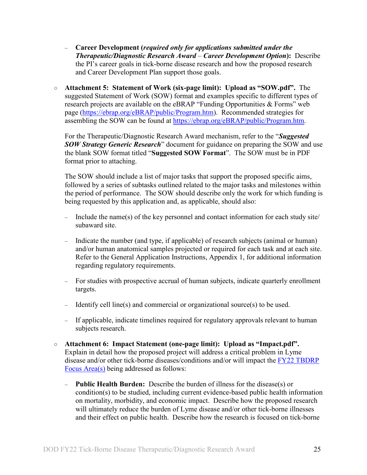- **Career Development (***required only for applications submitted under the Therapeutic/Diagnostic Research Award* – *Career Development Option***):** Describe the PI's career goals in tick-borne disease research and how the proposed research and Career Development Plan support those goals.
- **Attachment 5: Statement of Work (six-page limit): Upload as "SOW.pdf".** The suggested Statement of Work (SOW) format and examples specific to different types of research projects are available on the eBRAP "Funding Opportunities & Forms" web page [\(https://ebrap.org/eBRAP/public/Program.htm\)](https://ebrap.org/eBRAP/public/Program.htm). Recommended strategies for assembling the SOW can be found at [https://ebrap.org/eBRAP/public/Program.htm.](https://ebrap.org/eBRAP/public/Program.htm)

For the Therapeutic/Diagnostic Research Award mechanism, refer to the "*Suggested SOW Strategy Generic Research*" document for guidance on preparing the SOW and use the blank SOW format titled "**Suggested SOW Format**". The SOW must be in PDF format prior to attaching.

The SOW should include a list of major tasks that support the proposed specific aims, followed by a series of subtasks outlined related to the major tasks and milestones within the period of performance. The SOW should describe only the work for which funding is being requested by this application and, as applicable, should also:

- Include the name(s) of the key personnel and contact information for each study site/ subaward site.
- Indicate the number (and type, if applicable) of research subjects (animal or human) and/or human anatomical samples projected or required for each task and at each site. Refer to the General Application Instructions, Appendix 1, for additional information regarding regulatory requirements.
- For studies with prospective accrual of human subjects, indicate quarterly enrollment targets.
- Identify cell line(s) and commercial or organizational source(s) to be used.
- If applicable, indicate timelines required for regulatory approvals relevant to human subjects research.
- **Attachment 6: Impact Statement (one-page limit): Upload as "Impact.pdf".** Explain in detail how the proposed project will address a critical problem in Lyme disease and/or other tick-borne diseases/conditions and/or will impact the [FY22 TBDRP](#page-2-3)  [Focus Area\(s\)](#page-2-3) being addressed as follows:
	- **Public Health Burden:** Describe the burden of illness for the disease(s) or condition(s) to be studied, including current evidence-based public health information on mortality, morbidity, and economic impact. Describe how the proposed research will ultimately reduce the burden of Lyme disease and/or other tick-borne illnesses and their effect on public health. Describe how the research is focused on tick-borne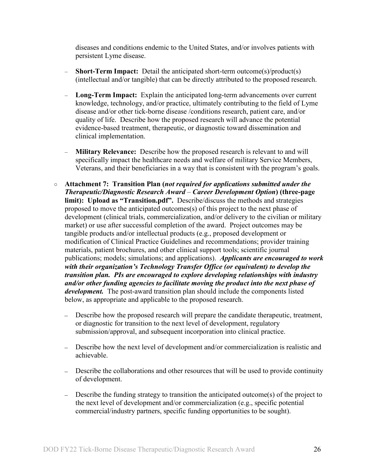diseases and conditions endemic to the United States, and/or involves patients with persistent Lyme disease.

- **Short-Term Impact:** Detail the anticipated short-term outcome(s)/product(s) (intellectual and/or tangible) that can be directly attributed to the proposed research.
- **Long-Term Impact:** Explain the anticipated long-term advancements over current knowledge, technology, and/or practice, ultimately contributing to the field of Lyme disease and/or other tick-borne disease /conditions research, patient care, and/or quality of life. Describe how the proposed research will advance the potential evidence-based treatment, therapeutic, or diagnostic toward dissemination and clinical implementation.
- **Military Relevance:** Describe how the proposed research is relevant to and will specifically impact the healthcare needs and welfare of military Service Members, Veterans, and their beneficiaries in a way that is consistent with the program's goals.
- **Attachment 7: Transition Plan (***not required for applications submitted under the Therapeutic/Diagnostic Research Award – Career Development Option***) (three-page limit): Upload as "Transition.pdf".** Describe/discuss the methods and strategies proposed to move the anticipated outcomes(s) of this project to the next phase of development (clinical trials, commercialization, and/or delivery to the civilian or military market) or use after successful completion of the award. Project outcomes may be tangible products and/or intellectual products (e.g., proposed development or modification of Clinical Practice Guidelines and recommendations; provider training materials, patient brochures, and other clinical support tools; scientific journal publications; models; simulations; and applications). *Applicants are encouraged to work with their organization's Technology Transfer Office (or equivalent) to develop the transition plan. PIs are encouraged to explore developing relationships with industry and/or other funding agencies to facilitate moving the product into the next phase of development.* The post-award transition plan should include the components listed below, as appropriate and applicable to the proposed research.
	- Describe how the proposed research will prepare the candidate therapeutic, treatment, or diagnostic for transition to the next level of development, regulatory submission/approval, and subsequent incorporation into clinical practice.
	- Describe how the next level of development and/or commercialization is realistic and achievable.
	- Describe the collaborations and other resources that will be used to provide continuity of development.
	- Describe the funding strategy to transition the anticipated outcome(s) of the project to the next level of development and/or commercialization (e.g., specific potential commercial/industry partners, specific funding opportunities to be sought).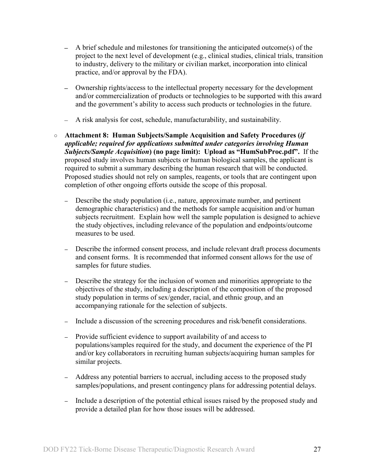- A brief schedule and milestones for transitioning the anticipated outcome(s) of the project to the next level of development (e.g., clinical studies, clinical trials, transition to industry, delivery to the military or civilian market, incorporation into clinical practice, and/or approval by the FDA).
- Ownership rights/access to the intellectual property necessary for the development and/or commercialization of products or technologies to be supported with this award and the government's ability to access such products or technologies in the future.
- A risk analysis for cost, schedule, manufacturability, and sustainability.
- <span id="page-26-0"></span>○ **Attachment 8: Human Subjects/Sample Acquisition and Safety Procedures (***if applicable; required for applications submitted under categories involving Human Subjects/Sample Acquisition***) (no page limit): Upload as "HumSubProc.pdf".** If the proposed study involves human subjects or human biological samples, the applicant is required to submit a summary describing the human research that will be conducted. Proposed studies should not rely on samples, reagents, or tools that are contingent upon completion of other ongoing efforts outside the scope of this proposal.
	- **–** Describe the study population (i.e., nature, approximate number, and pertinent demographic characteristics) and the methods for sample acquisition and/or human subjects recruitment. Explain how well the sample population is designed to achieve the study objectives, including relevance of the population and endpoints/outcome measures to be used.
	- **–** Describe the informed consent process, and include relevant draft process documents and consent forms. It is recommended that informed consent allows for the use of samples for future studies.
	- **–** Describe the strategy for the inclusion of women and minorities appropriate to the objectives of the study, including a description of the composition of the proposed study population in terms of sex/gender, racial, and ethnic group, and an accompanying rationale for the selection of subjects.
	- **–** Include a discussion of the screening procedures and risk/benefit considerations.
	- **–** Provide sufficient evidence to support availability of and access to populations/samples required for the study, and document the experience of the PI and/or key collaborators in recruiting human subjects/acquiring human samples for similar projects.
	- **–** Address any potential barriers to accrual, including access to the proposed study samples/populations, and present contingency plans for addressing potential delays.
	- **–** Include a description of the potential ethical issues raised by the proposed study and provide a detailed plan for how those issues will be addressed.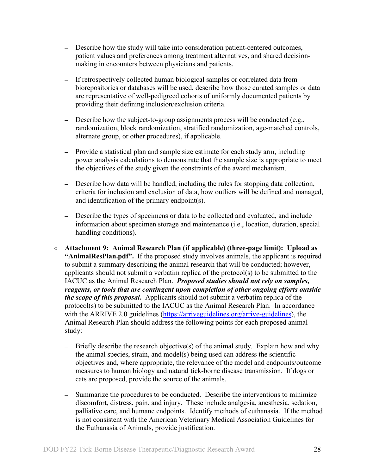- **–** Describe how the study will take into consideration patient-centered outcomes, patient values and preferences among treatment alternatives, and shared decisionmaking in encounters between physicians and patients.
- **–** If retrospectively collected human biological samples or correlated data from biorepositories or databases will be used, describe how those curated samples or data are representative of well-pedigreed cohorts of uniformly documented patients by providing their defining inclusion/exclusion criteria.
- **–** Describe how the subject-to-group assignments process will be conducted (e.g., randomization, block randomization, stratified randomization, age-matched controls, alternate group, or other procedures), if applicable.
- **–** Provide a statistical plan and sample size estimate for each study arm, including power analysis calculations to demonstrate that the sample size is appropriate to meet the objectives of the study given the constraints of the award mechanism.
- **–** Describe how data will be handled, including the rules for stopping data collection, criteria for inclusion and exclusion of data, how outliers will be defined and managed, and identification of the primary endpoint(s).
- **–** Describe the types of specimens or data to be collected and evaluated, and include information about specimen storage and maintenance (i.e., location, duration, special handling conditions).
- <span id="page-27-0"></span>○ **Attachment 9: Animal Research Plan (if applicable) (three-page limit): Upload as "AnimalResPlan.pdf".** If the proposed study involves animals, the applicant is required to submit a summary describing the animal research that will be conducted; however, applicants should not submit a verbatim replica of the protocol(s) to be submitted to the IACUC as the Animal Research Plan. *Proposed studies should not rely on samples, reagents, or tools that are contingent upon completion of other ongoing efforts outside the scope of this proposal***.** Applicants should not submit a verbatim replica of the protocol(s) to be submitted to the IACUC as the Animal Research Plan. In accordance with the ARRIVE 2.0 guidelines [\(https://arriveguidelines.org/arrive-guidelines\)](https://arriveguidelines.org/arrive-guidelines), the Animal Research Plan should address the following points for each proposed animal study:
	- **–** Briefly describe the research objective(s) of the animal study. Explain how and why the animal species, strain, and model(s) being used can address the scientific objectives and, where appropriate, the relevance of the model and endpoints/outcome measures to human biology and natural tick-borne disease transmission. If dogs or cats are proposed, provide the source of the animals.
	- **–** Summarize the procedures to be conducted. Describe the interventions to minimize discomfort, distress, pain, and injury. These include analgesia, anesthesia, sedation, palliative care, and humane endpoints. Identify methods of euthanasia. If the method is not consistent with the American Veterinary Medical Association Guidelines for the Euthanasia of Animals, provide justification.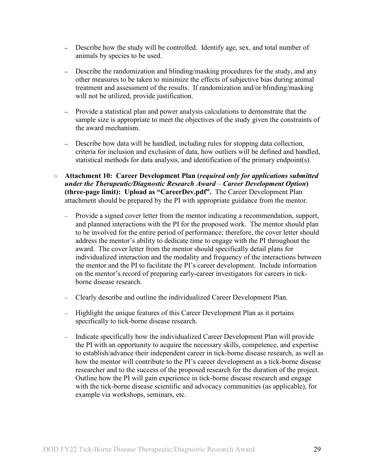- **–** Describe how the study will be controlled. Identify age, sex, and total number of animals by species to be used.
- **–** Describe the randomization and blinding/masking procedures for the study, and any other measures to be taken to minimize the effects of subjective bias during animal treatment and assessment of the results. If randomization and/or blinding/masking will not be utilized, provide justification.
- **–** Provide a statistical plan and power analysis calculations to demonstrate that the sample size is appropriate to meet the objectives of the study given the constraints of the award mechanism.
- **–** Describe how data will be handled, including rules for stopping data collection, criteria for inclusion and exclusion of data, how outliers will be defined and handled, statistical methods for data analysis, and identification of the primary endpoint(s).
- **Attachment 10: Career Development Plan (***required only for applications submitted under the Therapeutic/Diagnostic Research Award* – *Career Development Option***) (three-page limit): Upload as "CareerDev.pdf".** The Career Development Plan attachment should be prepared by the PI with appropriate guidance from the mentor.
	- Provide a signed cover letter from the mentor indicating a recommendation, support, and planned interactions with the PI for the proposed work. The mentor should plan to be involved for the entire period of performance; therefore, the cover letter should address the mentor's ability to dedicate time to engage with the PI throughout the award. The cover letter from the mentor should specifically detail plans for individualized interaction and the modality and frequency of the interactions between the mentor and the PI to facilitate the PI's career development. Include information on the mentor's record of preparing early-career investigators for careers in tickborne disease research.
	- Clearly describe and outline the individualized Career Development Plan.
	- Highlight the unique features of this Career Development Plan as it pertains specifically to tick-borne disease research.
	- Indicate specifically how the individualized Career Development Plan will provide the PI with an opportunity to acquire the necessary skills, competence, and expertise to establish/advance their independent career in tick-borne disease research, as well as how the mentor will contribute to the PI's career development as a tick-borne disease researcher and to the success of the proposed research for the duration of the project. Outline how the PI will gain experience in tick-borne disease research and engage with the tick-borne disease scientific and advocacy communities (as applicable), for example via workshops, seminars, etc.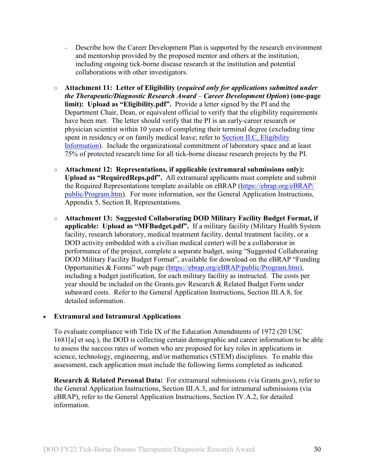- Describe how the Career Development Plan is supported by the research environment and mentorship provided by the proposed mentor and others at the institution, including ongoing tick-borne disease research at the institution and potential collaborations with other investigators.
- **Attachment 11: Letter of Eligibility (***required only for applications submitted under the Therapeutic/Diagnostic Research Award* – *Career Development Option***) (one-page limit): Upload as "Eligibility.pdf".** Provide a letter signed by the PI and the Department Chair, Dean, or equivalent official to verify that the eligibility requirements have been met. The letter should verify that the PI is an early-career research or physician scientist within 10 years of completing their terminal degree (excluding time spent in residency or on family medical leave; refer to Section II.C, Eligibility [Information\)](#page-7-0). Include the organizational commitment of laboratory space and at least 75% of protected research time for all tick-borne disease research projects by the PI.
- **Attachment 12: Representations, if applicable (extramural submissions only): Upload as "RequiredReps.pdf".** All extramural applicants must complete and submit the Required Representations template available on eBRAP [\(https://ebrap.org/eBRAP/](https://ebrap.org/eBRAP/public/Program.htm) [public/Program.htm\)](https://ebrap.org/eBRAP/public/Program.htm). For more information, see the General Application Instructions, Appendix 5, Section B, Representations.
- <span id="page-29-1"></span>○ **Attachment 13: Suggested Collaborating DOD Military Facility Budget Format, if applicable: Upload as "MFBudget.pdf".** If a military facility (Military Health System facility, research laboratory, medical treatment facility, dental treatment facility, or a DOD activity embedded with a civilian medical center) will be a collaborator in performance of the project, complete a separate budget, using "Suggested Collaborating DOD Military Facility Budget Format", available for download on the eBRAP "Funding Opportunities & Forms" web page [\(https://ebrap.org/eBRAP/public/Program.htm\)](https://ebrap.org/eBRAP/public/Program.htm), including a budget justification, for each military facility as instructed. The costs per year should be included on the Grants.gov Research & Related Budget Form under subaward costs. Refer to the General Application Instructions, Section III.A.8, for detailed information.

## • **Extramural and Intramural Applications**

To evaluate compliance with Title IX of the Education Amendments of 1972 (20 USC 1681[a] et seq.), the DOD is collecting certain demographic and career information to be able to assess the success rates of women who are proposed for key roles in applications in science, technology, engineering, and/or mathematics (STEM) disciplines. To enable this assessment, each application must include the following forms completed as indicated.

<span id="page-29-0"></span>**Research & Related Personal Data:** For extramural submissions (via Grants.gov), refer to the General Application Instructions, Section III.A.3, and for intramural submissions (via eBRAP), refer to the General Application Instructions, Section IV.A.2, for detailed information.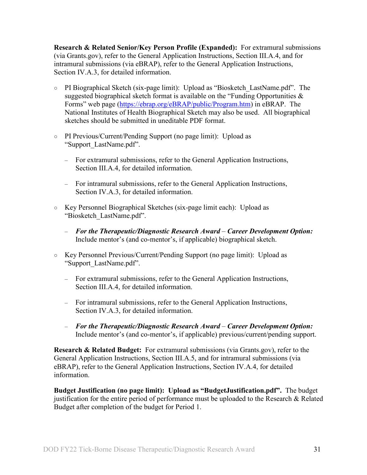<span id="page-30-0"></span>**Research & Related Senior/Key Person Profile (Expanded):** For extramural submissions (via Grants.gov), refer to the General Application Instructions, Section III.A.4, and for intramural submissions (via eBRAP), refer to the General Application Instructions, Section IV.A.3, for detailed information.

- PI Biographical Sketch (six-page limit): Upload as "Biosketch\_LastName.pdf". The suggested biographical sketch format is available on the "Funding Opportunities & Forms" web page [\(https://ebrap.org/eBRAP/public/Program.htm\)](https://ebrap.org/eBRAP/public/Program.htm) in eBRAP. The National Institutes of Health Biographical Sketch may also be used. All biographical sketches should be submitted in uneditable PDF format.
- PI Previous/Current/Pending Support (no page limit): Upload as "Support\_LastName.pdf".
	- For extramural submissions, refer to the General Application Instructions, Section III.A.4, for detailed information.
	- For intramural submissions, refer to the General Application Instructions, Section IV.A.3, for detailed information.
- Key Personnel Biographical Sketches (six-page limit each): Upload as "Biosketch\_LastName.pdf".
	- *For the Therapeutic/Diagnostic Research Award Career Development Option:* Include mentor's (and co-mentor's, if applicable) biographical sketch.
- Key Personnel Previous/Current/Pending Support (no page limit): Upload as "Support\_LastName.pdf".
	- For extramural submissions, refer to the General Application Instructions, Section III.A.4, for detailed information.
	- For intramural submissions, refer to the General Application Instructions, Section IV.A.3, for detailed information.
	- *For the Therapeutic/Diagnostic Research Award Career Development Option:* Include mentor's (and co-mentor's, if applicable) previous/current/pending support.

<span id="page-30-1"></span>**Research & Related Budget:** For extramural submissions (via Grants.gov), refer to the General Application Instructions, Section III.A.5, and for intramural submissions (via eBRAP), refer to the General Application Instructions, Section IV.A.4, for detailed information.

**Budget Justification (no page limit): Upload as "BudgetJustification.pdf".** The budget justification for the entire period of performance must be uploaded to the Research & Related Budget after completion of the budget for Period 1.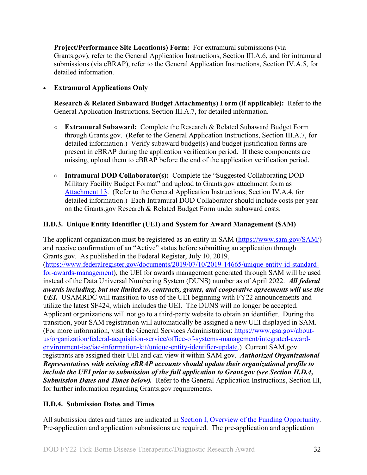<span id="page-31-2"></span>**Project/Performance Site Location(s) Form:** For extramural submissions (via Grants.gov), refer to the General Application Instructions, Section III.A.6, and for intramural submissions (via eBRAP), refer to the General Application Instructions, Section IV.A.5, for detailed information.

## • **Extramural Applications Only**

<span id="page-31-3"></span>**Research & Related Subaward Budget Attachment(s) Form (if applicable):** Refer to the General Application Instructions, Section III.A.7, for detailed information.

- **Extramural Subaward:** Complete the Research & Related Subaward Budget Form through Grants.gov. (Refer to the General Application Instructions, Section III.A.7, for detailed information.) Verify subaward budget(s) and budget justification forms are present in eBRAP during the application verification period. If these components are missing, upload them to eBRAP before the end of the application verification period.
- **Intramural DOD Collaborator(s):** Complete the "Suggested Collaborating DOD Military Facility Budget Format" and upload to Grants.gov attachment form as [Attachment 13.](#page-29-1) (Refer to the General Application Instructions, Section IV.A.4, for detailed information.) Each Intramural DOD Collaborator should include costs per year on the Grants.gov Research & Related Budget Form under subaward costs.

## <span id="page-31-0"></span>**II.D.3. Unique Entity Identifier (UEI) and System for Award Management (SAM)**

The applicant organization must be registered as an entity in SAM (https://www.sam.gov/SAM) and receive confirmation of an "Active" status before submitting an application through Grants.gov. As published in the Federal Register, July 10, 2019, [\(https://www.federalregister.gov/documents/2019/07/10/2019-14665/unique-entity-id-standard](https://www.federalregister.gov/documents/2019/07/10/2019-14665/unique-entity-id-standard-for-awards-management)[for-awards-management\)](https://www.federalregister.gov/documents/2019/07/10/2019-14665/unique-entity-id-standard-for-awards-management), the UEI for awards management generated through SAM will be used instead of the Data Universal Numbering System (DUNS) number as of April 2022. *All federal awards including, but not limited to, contracts, grants, and cooperative agreements will use the UEI.* USAMRDC will transition to use of the UEI beginning with FY22 announcements and utilize the latest SF424, which includes the UEI. The DUNS will no longer be accepted. Applicant organizations will not go to a third-party website to obtain an identifier. During the transition, your SAM registration will automatically be assigned a new UEI displayed in SAM. (For more information, visit the General Services Administration: [https://www.gsa.gov/about](https://www.gsa.gov/about-us/organization/federal-acquisition-service/office-of-systems-management/integrated-award-environment-iae/iae-information-kit/unique-entity-identifier-update)[us/organization/federal-acquisition-service/office-of-systems-management/integrated-award](https://www.gsa.gov/about-us/organization/federal-acquisition-service/office-of-systems-management/integrated-award-environment-iae/iae-information-kit/unique-entity-identifier-update)[environment-iae/iae-information-kit/unique-entity-identifier-update.](https://www.gsa.gov/about-us/organization/federal-acquisition-service/office-of-systems-management/integrated-award-environment-iae/iae-information-kit/unique-entity-identifier-update)) Current SAM.gov registrants are assigned their UEI and can view it within SAM.gov. *Authorized Organizational Representatives with existing eBRAP accounts should update their organizational profile to include the UEI prior to submission of the full application to Grant.gov (see Section II.D.4, Submission Dates and Times below).* Refer to the General Application Instructions, Section III, for further information regarding Grants.gov requirements.

## <span id="page-31-1"></span>**II.D.4. Submission Dates and Times**

All submission dates and times are indicated in [Section I, Overview of the Funding Opportunity.](#page-0-1) Pre-application and application submissions are required. The pre-application and application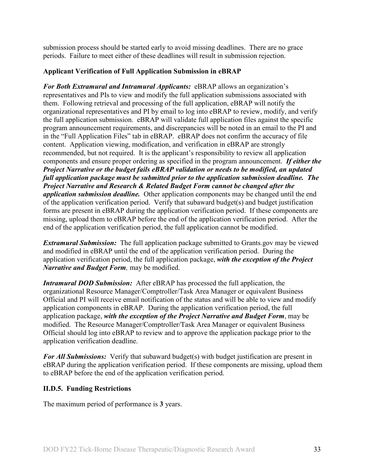submission process should be started early to avoid missing deadlines. There are no grace periods. Failure to meet either of these deadlines will result in submission rejection.

## <span id="page-32-1"></span>**Applicant Verification of Full Application Submission in eBRAP**

*For Both Extramural and Intramural Applicants:* eBRAP allows an organization's representatives and PIs to view and modify the full application submissions associated with them. Following retrieval and processing of the full application, eBRAP will notify the organizational representatives and PI by email to log into eBRAP to review, modify, and verify the full application submission. eBRAP will validate full application files against the specific program announcement requirements, and discrepancies will be noted in an email to the PI and in the "Full Application Files" tab in eBRAP. eBRAP does not confirm the accuracy of file content. Application viewing, modification, and verification in eBRAP are strongly recommended, but not required. It is the applicant's responsibility to review all application components and ensure proper ordering as specified in the program announcement. *If either the Project Narrative or the budget fails eBRAP validation or needs to be modified, an updated full application package must be submitted prior to the application submission deadline. The Project Narrative and Research & Related Budget Form cannot be changed after the application submission deadline.* Other application components may be changed until the end of the [application verification period.](#page-0-0) Verify that subaward budget(s) and budget justification forms are present in eBRAP during the application verification period. If these components are missing, upload them to eBRAP before the end of the application verification period. After the end of the application verification period, the full application cannot be modified.

*Extramural Submission:* The full application package submitted to Grants.gov may be viewed and modified in eBRAP until the end of the application verification period. During the application verification period, the full application package, *with the exception of the Project Narrative and Budget Form,* may be modified.

*Intramural DOD Submission:* After eBRAP has processed the full application, the organizational Resource Manager/Comptroller/Task Area Manager or equivalent Business Official and PI will receive email notification of the status and will be able to view and modify application components in eBRAP. During the application verification period, the full application package, *with the exception of the Project Narrative and Budget Form*, may be modified. The Resource Manager/Comptroller/Task Area Manager or equivalent Business Official should log into eBRAP to review and to approve the application package prior to the application verification deadline.

*For All Submissions:* Verify that subaward budget(s) with budget justification are present in eBRAP during the application verification period. If these components are missing, upload them to eBRAP before the end of the application verification period.

## <span id="page-32-0"></span>**II.D.5. Funding Restrictions**

The maximum period of performance is **3** years.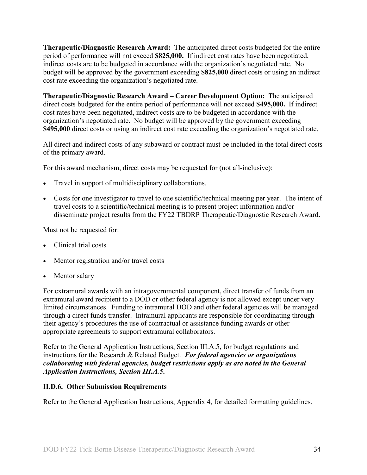**Therapeutic/Diagnostic Research Award:** The anticipated direct costs budgeted for the entire period of performance will not exceed **\$825,000.** If indirect cost rates have been negotiated, indirect costs are to be budgeted in accordance with the organization's negotiated rate. No budget will be approved by the government exceeding **\$825,000** direct costs or using an indirect cost rate exceeding the organization's negotiated rate.

**Therapeutic/Diagnostic Research Award – Career Development Option:** The anticipated direct costs budgeted for the entire period of performance will not exceed **\$495,000.** If indirect cost rates have been negotiated, indirect costs are to be budgeted in accordance with the organization's negotiated rate. No budget will be approved by the government exceeding **\$495,000** direct costs or using an indirect cost rate exceeding the organization's negotiated rate.

All direct and indirect costs of any subaward or contract must be included in the total direct costs of the primary award.

For this award mechanism, direct costs may be requested for (not all-inclusive):

- Travel in support of multidisciplinary collaborations.
- Costs for one investigator to travel to one scientific/technical meeting per year. The intent of travel costs to a scientific/technical meeting is to present project information and/or disseminate project results from the FY22 TBDRP Therapeutic/Diagnostic Research Award.

Must not be requested for:

- Clinical trial costs
- Mentor registration and/or travel costs
- Mentor salary

For extramural awards with an intragovernmental component, direct transfer of funds from an extramural award recipient to a DOD or other federal agency is not allowed except under very limited circumstances. Funding to intramural DOD and other federal agencies will be managed through a direct funds transfer. Intramural applicants are responsible for coordinating through their agency's procedures the use of contractual or assistance funding awards or other appropriate agreements to support extramural collaborators.

Refer to the General Application Instructions, Section III.A.5, for budget regulations and instructions for the Research & Related Budget. *For federal agencies or organizations collaborating with federal agencies, budget restrictions apply as are noted in the General Application Instructions, Section III.A.5***.**

#### <span id="page-33-0"></span>**II.D.6. Other Submission Requirements**

Refer to the General Application Instructions, Appendix 4, for detailed formatting guidelines.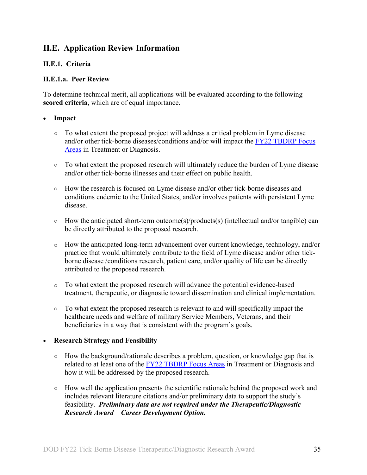## <span id="page-34-0"></span>**II.E. Application Review Information**

## <span id="page-34-1"></span>**II.E.1. Criteria**

### **II.E.1.a. Peer Review**

To determine technical merit, all applications will be evaluated according to the following **scored criteria**, which are of equal importance.

### • **Impact**

- $\circ$  To what extent the proposed project will address a critical problem in Lyme disease and/or other tick-borne diseases/conditions and/or will impact the [FY22 TBDRP Focus](#page-2-3)  [Areas](#page-2-3) in Treatment or Diagnosis.
- To what extent the proposed research will ultimately reduce the burden of Lyme disease and/or other tick-borne illnesses and their effect on public health.
- How the research is focused on Lyme disease and/or other tick-borne diseases and conditions endemic to the United States, and/or involves patients with persistent Lyme disease.
- How the anticipated short-term outcome(s)/products(s) (intellectual and/or tangible) can be directly attributed to the proposed research.
- o How the anticipated long-term advancement over current knowledge, technology, and/or practice that would ultimately contribute to the field of Lyme disease and/or other tickborne disease /conditions research, patient care, and/or quality of life can be directly attributed to the proposed research.
- o To what extent the proposed research will advance the potential evidence-based treatment, therapeutic, or diagnostic toward dissemination and clinical implementation.
- To what extent the proposed research is relevant to and will specifically impact the healthcare needs and welfare of military Service Members, Veterans, and their beneficiaries in a way that is consistent with the program's goals.

## • **Research Strategy and Feasibility**

- How the background/rationale describes a problem, question, or knowledge gap that is related to at least one of the [FY22 TBDRP Focus Areas](#page-2-3) in Treatment or Diagnosis and how it will be addressed by the proposed research.
- How well the application presents the scientific rationale behind the proposed work and includes relevant literature citations and/or preliminary data to support the study's feasibility. *Preliminary data are not required under the Therapeutic/Diagnostic Research Award* – *Career Development Option.*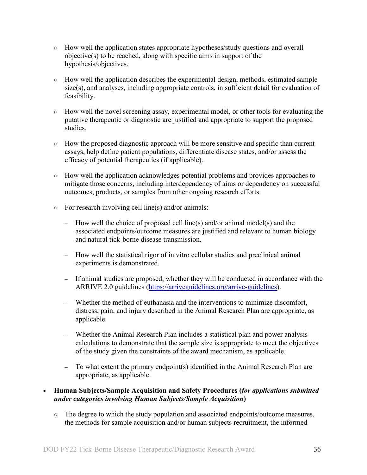- How well the application states appropriate hypotheses/study questions and overall objective(s) to be reached, along with specific aims in support of the hypothesis/objectives.
- How well the application describes the experimental design, methods, estimated sample size(s), and analyses, including appropriate controls, in sufficient detail for evaluation of feasibility.
- How well the novel screening assay, experimental model, or other tools for evaluating the putative therapeutic or diagnostic are justified and appropriate to support the proposed studies.
- How the proposed diagnostic approach will be more sensitive and specific than current assays, help define patient populations, differentiate disease states, and/or assess the efficacy of potential therapeutics (if applicable).
- How well the application acknowledges potential problems and provides approaches to mitigate those concerns, including interdependency of aims or dependency on successful outcomes, products, or samples from other ongoing research efforts.
- For research involving cell line(s) and/or animals:
	- How well the choice of proposed cell line(s) and/or animal model(s) and the associated endpoints/outcome measures are justified and relevant to human biology and natural tick-borne disease transmission.
	- How well the statistical rigor of in vitro cellular studies and preclinical animal experiments is demonstrated.
	- If animal studies are proposed, whether they will be conducted in accordance with the ARRIVE 2.0 guidelines [\(https://arriveguidelines.org/arrive-guidelines\)](https://arriveguidelines.org/arrive-guidelines).
	- Whether the method of euthanasia and the interventions to minimize discomfort, distress, pain, and injury described in the Animal Research Plan are appropriate, as applicable.
	- Whether the Animal Research Plan includes a statistical plan and power analysis calculations to demonstrate that the sample size is appropriate to meet the objectives of the study given the constraints of the award mechanism, as applicable.
	- To what extent the primary endpoint(s) identified in the Animal Research Plan are appropriate, as applicable.

## • **Human Subjects/Sample Acquisition and Safety Procedures (***for applications submitted under categories involving Human Subjects/Sample Acquisition***)**

○ The degree to which the study population and associated endpoints/outcome measures, the methods for sample acquisition and/or human subjects recruitment, the informed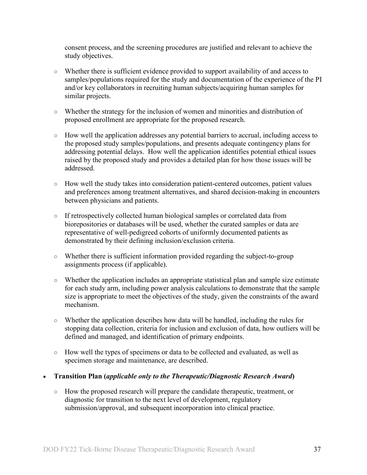consent process, and the screening procedures are justified and relevant to achieve the study objectives.

- Whether there is sufficient evidence provided to support availability of and access to samples/populations required for the study and documentation of the experience of the PI and/or key collaborators in recruiting human subjects/acquiring human samples for similar projects.
- Whether the strategy for the inclusion of women and minorities and distribution of proposed enrollment are appropriate for the proposed research.
- How well the application addresses any potential barriers to accrual, including access to the proposed study samples/populations, and presents adequate contingency plans for addressing potential delays. How well the application identifies potential ethical issues raised by the proposed study and provides a detailed plan for how those issues will be addressed.
- How well the study takes into consideration patient-centered outcomes, patient values and preferences among treatment alternatives, and shared decision-making in encounters between physicians and patients.
- If retrospectively collected human biological samples or correlated data from biorepositories or databases will be used, whether the curated samples or data are representative of well-pedigreed cohorts of uniformly documented patients as demonstrated by their defining inclusion/exclusion criteria.
- Whether there is sufficient information provided regarding the subject-to-group assignments process (if applicable).
- Whether the application includes an appropriate statistical plan and sample size estimate for each study arm, including power analysis calculations to demonstrate that the sample size is appropriate to meet the objectives of the study, given the constraints of the award mechanism.
- Whether the application describes how data will be handled, including the rules for stopping data collection, criteria for inclusion and exclusion of data, how outliers will be defined and managed, and identification of primary endpoints.
- How well the types of specimens or data to be collected and evaluated, as well as specimen storage and maintenance, are described.
- **Transition Plan (***applicable only to the Therapeutic/Diagnostic Research Award***)**
	- How the proposed research will prepare the candidate therapeutic, treatment, or diagnostic for transition to the next level of development, regulatory submission/approval, and subsequent incorporation into clinical practice.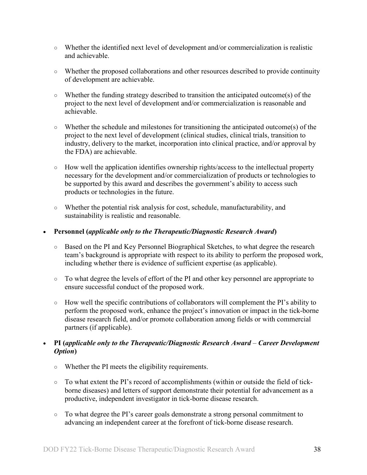- Whether the identified next level of development and/or commercialization is realistic and achievable.
- Whether the proposed collaborations and other resources described to provide continuity of development are achievable.
- Whether the funding strategy described to transition the anticipated outcome(s) of the project to the next level of development and/or commercialization is reasonable and achievable.
- Whether the schedule and milestones for transitioning the anticipated outcome(s) of the project to the next level of development (clinical studies, clinical trials, transition to industry, delivery to the market, incorporation into clinical practice, and/or approval by the FDA) are achievable.
- How well the application identifies ownership rights/access to the intellectual property necessary for the development and/or commercialization of products or technologies to be supported by this award and describes the government's ability to access such products or technologies in the future.
- Whether the potential risk analysis for cost, schedule, manufacturability, and sustainability is realistic and reasonable.
- **Personnel (***applicable only to the Therapeutic/Diagnostic Research Award***)**
	- Based on the PI and Key Personnel Biographical Sketches, to what degree the research team's background is appropriate with respect to its ability to perform the proposed work, including whether there is evidence of sufficient expertise (as applicable).
	- To what degree the levels of effort of the PI and other key personnel are appropriate to ensure successful conduct of the proposed work.
	- How well the specific contributions of collaborators will complement the PI's ability to perform the proposed work, enhance the project's innovation or impact in the tick-borne disease research field, and/or promote collaboration among fields or with commercial partners (if applicable).

## • **PI (***applicable only to the Therapeutic/Diagnostic Research Award* – *Career Development Option***)**

- Whether the PI meets the eligibility requirements.
- To what extent the PI's record of accomplishments (within or outside the field of tickborne diseases) and letters of support demonstrate their potential for advancement as a productive, independent investigator in tick-borne disease research.
- To what degree the PI's career goals demonstrate a strong personal commitment to advancing an independent career at the forefront of tick-borne disease research.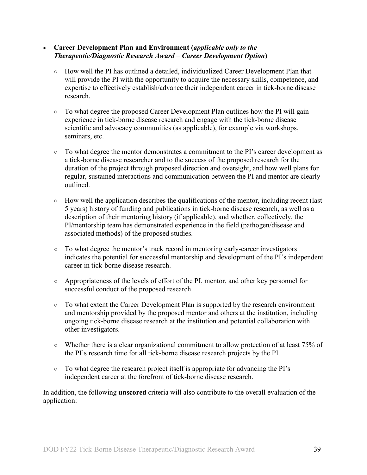#### • **Career Development Plan and Environment (***applicable only to the Therapeutic/Diagnostic Research Award* – *Career Development Option***)**

- How well the PI has outlined a detailed, individualized Career Development Plan that will provide the PI with the opportunity to acquire the necessary skills, competence, and expertise to effectively establish/advance their independent career in tick-borne disease research.
- To what degree the proposed Career Development Plan outlines how the PI will gain experience in tick-borne disease research and engage with the tick-borne disease scientific and advocacy communities (as applicable), for example via workshops, seminars, etc.
- To what degree the mentor demonstrates a commitment to the PI's career development as a tick-borne disease researcher and to the success of the proposed research for the duration of the project through proposed direction and oversight, and how well plans for regular, sustained interactions and communication between the PI and mentor are clearly outlined.
- $\circ$  How well the application describes the qualifications of the mentor, including recent (last 5 years) history of funding and publications in tick-borne disease research, as well as a description of their mentoring history (if applicable), and whether, collectively, the PI/mentorship team has demonstrated experience in the field (pathogen/disease and associated methods) of the proposed studies.
- To what degree the mentor's track record in mentoring early-career investigators indicates the potential for successful mentorship and development of the PI's independent career in tick-borne disease research.
- Appropriateness of the levels of effort of the PI, mentor, and other key personnel for successful conduct of the proposed research.
- To what extent the Career Development Plan is supported by the research environment and mentorship provided by the proposed mentor and others at the institution, including ongoing tick-borne disease research at the institution and potential collaboration with other investigators.
- Whether there is a clear organizational commitment to allow protection of at least 75% of the PI's research time for all tick-borne disease research projects by the PI.
- To what degree the research project itself is appropriate for advancing the PI's independent career at the forefront of tick-borne disease research.

In addition, the following **unscored** criteria will also contribute to the overall evaluation of the application: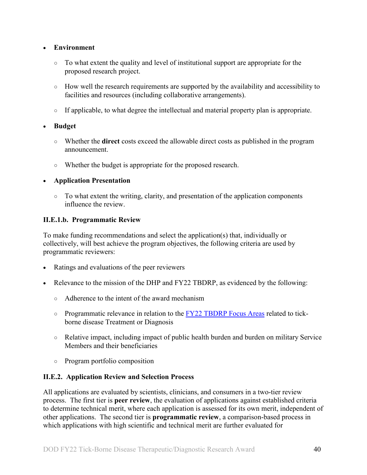## • **Environment**

- To what extent the quality and level of institutional support are appropriate for the proposed research project.
- How well the research requirements are supported by the availability and accessibility to facilities and resources (including collaborative arrangements).
- If applicable, to what degree the intellectual and material property plan is appropriate.

## • **Budget**

- Whether the **direct** costs exceed the allowable direct costs as published in the program announcement.
- Whether the budget is appropriate for the proposed research.

## • **Application Presentation**

 $\circ$  To what extent the writing, clarity, and presentation of the application components influence the review.

## <span id="page-39-1"></span>**II.E.1.b. Programmatic Review**

To make funding recommendations and select the application(s) that, individually or collectively, will best achieve the program objectives, the following criteria are used by programmatic reviewers:

- Ratings and evaluations of the peer reviewers
- Relevance to the mission of the DHP and FY22 TBDRP, as evidenced by the following:
	- Adherence to the intent of the award mechanism
	- Programmatic relevance in relation to the [FY22 TBDRP Focus Areas](#page-2-3) related to tickborne disease Treatment or Diagnosis
	- Relative impact, including impact of public health burden and burden on military Service Members and their beneficiaries
	- Program portfolio composition

## <span id="page-39-0"></span>**II.E.2. Application Review and Selection Process**

All applications are evaluated by scientists, clinicians, and consumers in a two-tier review process. The first tier is **peer review**, the evaluation of applications against established criteria to determine technical merit, where each application is assessed for its own merit, independent of other applications. The second tier is **programmatic review**, a comparison-based process in which applications with high scientific and technical merit are further evaluated for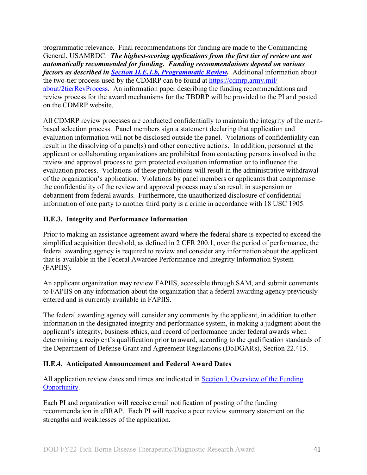programmatic relevance. Final recommendations for funding are made to the Commanding General, USAMRDC. *The highest-scoring applications from the first tier of review are not automatically recommended for funding. Funding recommendations depend on various factors as described in Section [II.E.1.b, Programmatic Review.](#page-39-1)* Additional information about the two-tier process used by the CDMRP can be found at [https://cdmrp.army.mil/](https://cdmrp.army.mil/about/2tierRevProcess) [about/2tierRevProcess.](https://cdmrp.army.mil/about/2tierRevProcess) An information paper describing the funding recommendations and review process for the award mechanisms for the TBDRP will be provided to the PI and posted on the CDMRP website.

All CDMRP review processes are conducted confidentially to maintain the integrity of the meritbased selection process. Panel members sign a statement declaring that application and evaluation information will not be disclosed outside the panel. Violations of confidentiality can result in the dissolving of a panel(s) and other corrective actions. In addition, personnel at the applicant or collaborating organizations are prohibited from contacting persons involved in the review and approval process to gain protected evaluation information or to influence the evaluation process. Violations of these prohibitions will result in the administrative withdrawal of the organization's application. Violations by panel members or applicants that compromise the confidentiality of the review and approval process may also result in suspension or debarment from federal awards. Furthermore, the unauthorized disclosure of confidential information of one party to another third party is a crime in accordance with 18 USC 1905.

## <span id="page-40-0"></span>**II.E.3. Integrity and Performance Information**

Prior to making an assistance agreement award where the federal share is expected to exceed the simplified acquisition threshold, as defined in 2 CFR 200.1, over the period of performance, the federal awarding agency is required to review and consider any information about the applicant that is available in the Federal Awardee Performance and Integrity Information System (FAPIIS).

An applicant organization may review FAPIIS, accessible through SAM, and submit comments to FAPIIS on any information about the organization that a federal awarding agency previously entered and is currently available in FAPIIS.

The federal awarding agency will consider any comments by the applicant, in addition to other information in the designated integrity and performance system, in making a judgment about the applicant's integrity, business ethics, and record of performance under federal awards when determining a recipient's qualification prior to award, according to the qualification standards of the Department of Defense Grant and Agreement Regulations (DoDGARs), Section 22.415.

## <span id="page-40-1"></span>**II.E.4. Anticipated Announcement and Federal Award Dates**

All application review dates and times are indicated in [Section I, Overview of the Funding](#page-0-1)  [Opportunity.](#page-0-1)

Each PI and organization will receive email notification of posting of the funding recommendation in eBRAP. Each PI will receive a peer review summary statement on the strengths and weaknesses of the application.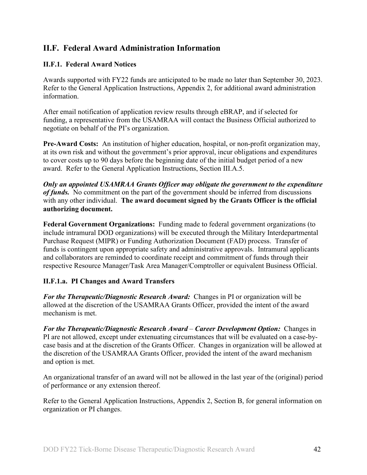## <span id="page-41-0"></span>**II.F. Federal Award Administration Information**

## <span id="page-41-1"></span>**II.F.1. Federal Award Notices**

Awards supported with FY22 funds are anticipated to be made no later than September 30, 2023. Refer to the General Application Instructions, Appendix 2, for additional award administration information.

After email notification of application review results through eBRAP, and if selected for funding, a representative from the USAMRAA will contact the Business Official authorized to negotiate on behalf of the PI's organization.

**Pre-Award Costs:** An institution of higher education, hospital, or non-profit organization may, at its own risk and without the government's prior approval, incur obligations and expenditures to cover costs up to 90 days before the beginning date of the initial budget period of a new award. Refer to the General Application Instructions, Section III.A.5.

*Only an appointed USAMRAA Grants Officer may obligate the government to the expenditure of funds.* No commitment on the part of the government should be inferred from discussions with any other individual. **The award document signed by the Grants Officer is the official authorizing document.**

Federal Government Organizations: Funding made to federal government organizations (to include intramural DOD organizations) will be executed through the Military Interdepartmental Purchase Request (MIPR) or Funding Authorization Document (FAD) process. Transfer of funds is contingent upon appropriate safety and administrative approvals. Intramural applicants and collaborators are reminded to coordinate receipt and commitment of funds through their respective Resource Manager/Task Area Manager/Comptroller or equivalent Business Official.

## **II.F.1.a. PI Changes and Award Transfers**

*For the Therapeutic/Diagnostic Research Award:* Changes in PI or organization will be allowed at the discretion of the USAMRAA Grants Officer, provided the intent of the award mechanism is met.

*For the Therapeutic/Diagnostic Research Award* – *Career Development Option:* Changes in PI are not allowed, except under extenuating circumstances that will be evaluated on a case-bycase basis and at the discretion of the Grants Officer. Changes in organization will be allowed at the discretion of the USAMRAA Grants Officer, provided the intent of the award mechanism and option is met.

An organizational transfer of an award will not be allowed in the last year of the (original) period of performance or any extension thereof.

Refer to the General Application Instructions, Appendix 2, Section B, for general information on organization or PI changes.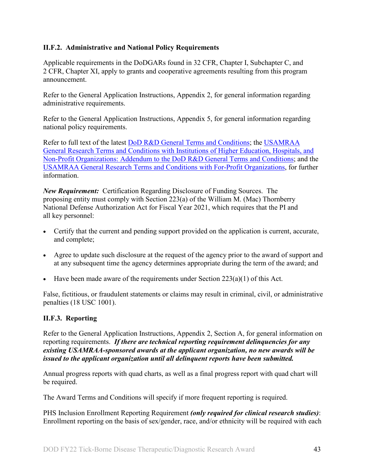## <span id="page-42-0"></span>**II.F.2. Administrative and National Policy Requirements**

Applicable requirements in the DoDGARs found in 32 CFR, Chapter I, Subchapter C, and 2 CFR, Chapter XI, apply to grants and cooperative agreements resulting from this program announcement.

Refer to the General Application Instructions, Appendix 2, for general information regarding administrative requirements.

Refer to the General Application Instructions, Appendix 5, for general information regarding national policy requirements.

Refer to full text of the latest [DoD R&D General Terms and Conditions;](https://www.onr.navy.mil/work-with-us/manage-your-award/manage-grant-award/grants-terms-conditions) the [USAMRAA](https://www.usamraa.army.mil/Pages/Resources.aspx)  [General Research Terms and Conditions with Institutions of Higher Education, Hospitals, and](https://www.usamraa.army.mil/Pages/Resources.aspx)  [Non-Profit Organizations: Addendum to the DoD R&D General Terms and Conditions;](https://www.usamraa.army.mil/Pages/Resources.aspx) and the [USAMRAA General Research Terms and Conditions with For-Profit Organizations,](https://www.usamraa.army.mil/Pages/Resources.aspx) for further information.

*New Requirement:* Certification Regarding Disclosure of Funding Sources. The proposing entity must comply with Section 223(a) of the William M. (Mac) Thornberry National Defense Authorization Act for Fiscal Year 2021, which requires that the PI and all key personnel:

- Certify that the current and pending support provided on the application is current, accurate, and complete;
- Agree to update such disclosure at the request of the agency prior to the award of support and at any subsequent time the agency determines appropriate during the term of the award; and
- Have been made aware of the requirements under Section  $223(a)(1)$  of this Act.

False, fictitious, or fraudulent statements or claims may result in criminal, civil, or administrative penalties (18 USC 1001).

## <span id="page-42-1"></span>**II.F.3. Reporting**

Refer to the General Application Instructions, Appendix 2, Section A, for general information on reporting requirements. *If there are technical reporting requirement delinquencies for any existing USAMRAA-sponsored awards at the applicant organization, no new awards will be issued to the applicant organization until all delinquent reports have been submitted.*

Annual progress reports with quad charts, as well as a final progress report with quad chart will be required.

The Award Terms and Conditions will specify if more frequent reporting is required.

PHS Inclusion Enrollment Reporting Requirement *(only required for clinical research studies)*: Enrollment reporting on the basis of sex/gender, race, and/or ethnicity will be required with each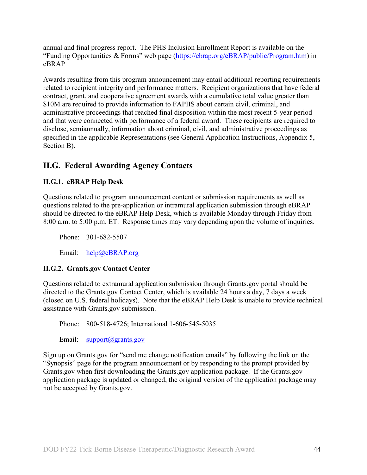annual and final progress report. The PHS Inclusion Enrollment Report is available on the "Funding Opportunities & Forms" web page [\(https://ebrap.org/eBRAP/public/Program.htm\)](https://ebrap.org/eBRAP/public/Program.htm) in eBRAP

Awards resulting from this program announcement may entail additional reporting requirements related to recipient integrity and performance matters. Recipient organizations that have federal contract, grant, and cooperative agreement awards with a cumulative total value greater than \$10M are required to provide information to FAPIIS about certain civil, criminal, and administrative proceedings that reached final disposition within the most recent 5-year period and that were connected with performance of a federal award. These recipients are required to disclose, semiannually, information about criminal, civil, and administrative proceedings as specified in the applicable Representations (see General Application Instructions, Appendix 5, Section B).

## <span id="page-43-0"></span>**II.G. Federal Awarding Agency Contacts**

## <span id="page-43-1"></span>**II.G.1. eBRAP Help Desk**

Questions related to program announcement content or submission requirements as well as questions related to the pre-application or intramural application submission through eBRAP should be directed to the eBRAP Help Desk, which is available Monday through Friday from 8:00 a.m. to 5:00 p.m. ET. Response times may vary depending upon the volume of inquiries.

Phone: 301-682-5507

Email: [help@eBRAP.org](mailto:help@eBRAP.org)

## <span id="page-43-2"></span>**II.G.2. Grants.gov Contact Center**

Questions related to extramural application submission through Grants.gov portal should be directed to the Grants.gov Contact Center, which is available 24 hours a day, 7 days a week (closed on U.S. federal holidays). Note that the eBRAP Help Desk is unable to provide technical assistance with Grants.gov submission.

Phone: 800-518-4726; International 1-606-545-5035

Email: [support@grants.gov](mailto:support@grants.gov)

Sign up on Grants.gov for "send me change notification emails" by following the link on the "Synopsis" page for the program announcement or by responding to the prompt provided by Grants.gov when first downloading the Grants.gov application package. If the Grants.gov application package is updated or changed, the original version of the application package may not be accepted by Grants.gov.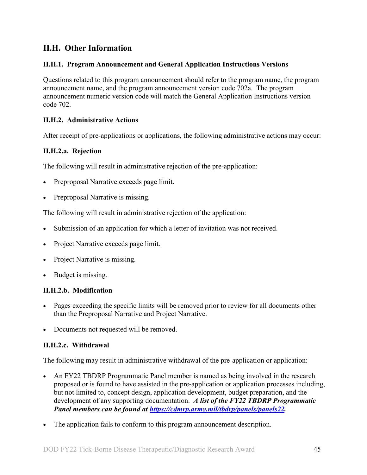## <span id="page-44-0"></span>**II.H. Other Information**

## <span id="page-44-1"></span>**II.H.1. Program Announcement and General Application Instructions Versions**

Questions related to this program announcement should refer to the program name, the program announcement name, and the program announcement version code 702a. The program announcement numeric version code will match the General Application Instructions version code 702.

## <span id="page-44-2"></span>**II.H.2. Administrative Actions**

After receipt of pre-applications or applications, the following administrative actions may occur:

## **II.H.2.a. Rejection**

The following will result in administrative rejection of the pre-application:

- Preproposal Narrative exceeds page limit.
- Preproposal Narrative is missing.

The following will result in administrative rejection of the application:

- Submission of an application for which a letter of invitation was not received.
- Project Narrative exceeds page limit.
- **Project Narrative is missing.**
- Budget is missing.

## **II.H.2.b. Modification**

- Pages exceeding the specific limits will be removed prior to review for all documents other than the Preproposal Narrative and Project Narrative.
- Documents not requested will be removed.

## <span id="page-44-3"></span>**II.H.2.c. Withdrawal**

The following may result in administrative withdrawal of the pre-application or application:

- An FY22 TBDRP Programmatic Panel member is named as being involved in the research proposed or is found to have assisted in the pre-application or application processes including, but not limited to, concept design, application development, budget preparation, and the development of any supporting documentation. *A list of the FY22 TBDRP Programmatic Panel members can be found at [https://cdmrp.army.mil/tbdrp/panels/panels22.](https://cdmrp.army.mil/tbdrp/panels/panels22)*
- The application fails to conform to this program announcement description.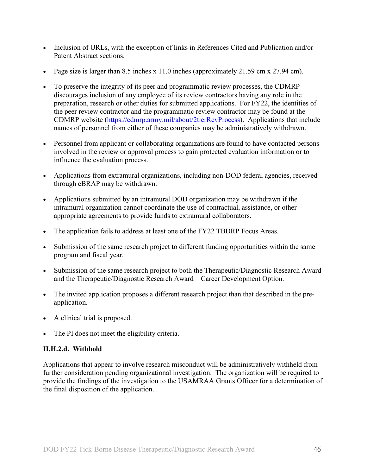- Inclusion of URLs, with the exception of links in References Cited and Publication and/or Patent Abstract sections.
- Page size is larger than 8.5 inches x 11.0 inches (approximately 21.59 cm x 27.94 cm).
- To preserve the integrity of its peer and programmatic review processes, the CDMRP discourages inclusion of any employee of its review contractors having any role in the preparation, research or other duties for submitted applications. For FY22, the identities of the peer review contractor and the programmatic review contractor may be found at the CDMRP website [\(https://cdmrp.army.mil/about/2tierRevProcess\)](https://cdmrp.army.mil/about/2tierRevProcess). Applications that include names of personnel from either of these companies may be administratively withdrawn.
- Personnel from applicant or collaborating organizations are found to have contacted persons involved in the review or approval process to gain protected evaluation information or to influence the evaluation process.
- Applications from extramural organizations, including non-DOD federal agencies, received through eBRAP may be withdrawn.
- Applications submitted by an intramural DOD organization may be withdrawn if the intramural organization cannot coordinate the use of contractual, assistance, or other appropriate agreements to provide funds to extramural collaborators.
- The application fails to address at least one of the FY22 TBDRP Focus Areas.
- Submission of the same research project to different funding opportunities within the same program and fiscal year.
- Submission of the same research project to both the Therapeutic/Diagnostic Research Award and the Therapeutic/Diagnostic Research Award – Career Development Option.
- The invited application proposes a different research project than that described in the preapplication.
- A clinical trial is proposed.
- The PI does not meet the eligibility criteria.

## **II.H.2.d. Withhold**

Applications that appear to involve research misconduct will be administratively withheld from further consideration pending organizational investigation. The organization will be required to provide the findings of the investigation to the USAMRAA Grants Officer for a determination of the final disposition of the application.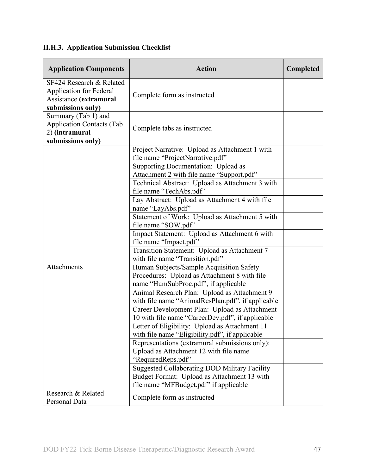<span id="page-46-0"></span>

|  | <b>II.H.3. Application Submission Checklist</b> |  |  |
|--|-------------------------------------------------|--|--|
|--|-------------------------------------------------|--|--|

| <b>Application Components</b>                                                                             | <b>Action</b>                                                                                                                                                                                                                                                                                                                                                                                                                                                                                                                                                                                                                                                                                                                                                                                                                                                                                                                                                      | Completed |
|-----------------------------------------------------------------------------------------------------------|--------------------------------------------------------------------------------------------------------------------------------------------------------------------------------------------------------------------------------------------------------------------------------------------------------------------------------------------------------------------------------------------------------------------------------------------------------------------------------------------------------------------------------------------------------------------------------------------------------------------------------------------------------------------------------------------------------------------------------------------------------------------------------------------------------------------------------------------------------------------------------------------------------------------------------------------------------------------|-----------|
| SF424 Research & Related<br><b>Application for Federal</b><br>Assistance (extramural<br>submissions only) | Complete form as instructed                                                                                                                                                                                                                                                                                                                                                                                                                                                                                                                                                                                                                                                                                                                                                                                                                                                                                                                                        |           |
| Summary (Tab 1) and<br><b>Application Contacts (Tab</b><br>2) (intramural<br>submissions only)            | Complete tabs as instructed                                                                                                                                                                                                                                                                                                                                                                                                                                                                                                                                                                                                                                                                                                                                                                                                                                                                                                                                        |           |
| Attachments                                                                                               | Project Narrative: Upload as Attachment 1 with<br>file name "ProjectNarrative.pdf"<br>Supporting Documentation: Upload as<br>Attachment 2 with file name "Support.pdf"<br>Technical Abstract: Upload as Attachment 3 with<br>file name "TechAbs.pdf"<br>Lay Abstract: Upload as Attachment 4 with file<br>name "LayAbs.pdf"<br>Statement of Work: Upload as Attachment 5 with<br>file name "SOW.pdf"<br>Impact Statement: Upload as Attachment 6 with<br>file name "Impact.pdf"<br>Transition Statement: Upload as Attachment 7<br>with file name "Transition.pdf"<br>Human Subjects/Sample Acquisition Safety<br>Procedures: Upload as Attachment 8 with file<br>name "HumSubProc.pdf", if applicable<br>Animal Research Plan: Upload as Attachment 9<br>with file name "AnimalResPlan.pdf", if applicable<br>Career Development Plan: Upload as Attachment<br>10 with file name "CareerDev.pdf", if applicable<br>Letter of Eligibility: Upload as Attachment 11 |           |
|                                                                                                           | with file name "Eligibility.pdf", if applicable<br>Representations (extramural submissions only):<br>Upload as Attachment 12 with file name<br>"RequiredReps.pdf"<br><b>Suggested Collaborating DOD Military Facility</b><br>Budget Format: Upload as Attachment 13 with<br>file name "MFBudget.pdf" if applicable                                                                                                                                                                                                                                                                                                                                                                                                                                                                                                                                                                                                                                                 |           |
| Research & Related<br>Personal Data                                                                       | Complete form as instructed                                                                                                                                                                                                                                                                                                                                                                                                                                                                                                                                                                                                                                                                                                                                                                                                                                                                                                                                        |           |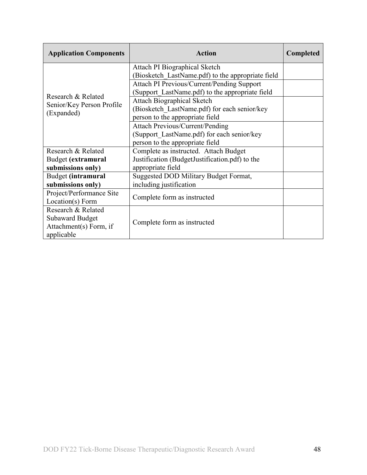| <b>Application Components</b> | <b>Action</b>                                     | <b>Completed</b> |
|-------------------------------|---------------------------------------------------|------------------|
|                               | Attach PI Biographical Sketch                     |                  |
|                               | (Biosketch LastName.pdf) to the appropriate field |                  |
|                               | Attach PI Previous/Current/Pending Support        |                  |
| Research & Related            | (Support LastName.pdf) to the appropriate field   |                  |
| Senior/Key Person Profile     | <b>Attach Biographical Sketch</b>                 |                  |
| (Expanded)                    | (Biosketch LastName.pdf) for each senior/key      |                  |
|                               | person to the appropriate field                   |                  |
|                               | <b>Attach Previous/Current/Pending</b>            |                  |
|                               | (Support LastName.pdf) for each senior/key        |                  |
|                               | person to the appropriate field                   |                  |
| Research & Related            | Complete as instructed. Attach Budget             |                  |
| Budget (extramural            | Justification (BudgetJustification.pdf) to the    |                  |
| submissions only)             | appropriate field                                 |                  |
| Budget (intramural            | Suggested DOD Military Budget Format,             |                  |
| submissions only)             | including justification                           |                  |
| Project/Performance Site      | Complete form as instructed                       |                  |
| Location(s) Form              |                                                   |                  |
| Research & Related            |                                                   |                  |
| <b>Subaward Budget</b>        | Complete form as instructed                       |                  |
| Attachment(s) Form, if        |                                                   |                  |
| applicable                    |                                                   |                  |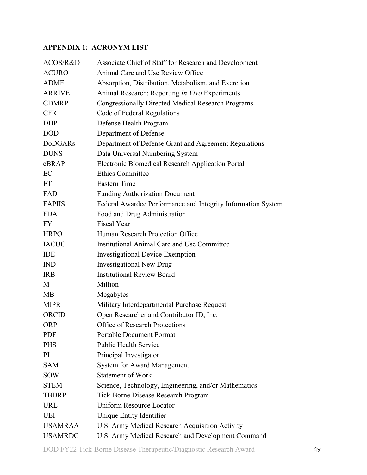## <span id="page-48-0"></span>**APPENDIX 1: ACRONYM LIST**

| ACOS/R&D       | Associate Chief of Staff for Research and Development        |
|----------------|--------------------------------------------------------------|
| <b>ACURO</b>   | Animal Care and Use Review Office                            |
| <b>ADME</b>    | Absorption, Distribution, Metabolism, and Excretion          |
| <b>ARRIVE</b>  | Animal Research: Reporting In Vivo Experiments               |
| <b>CDMRP</b>   | <b>Congressionally Directed Medical Research Programs</b>    |
| <b>CFR</b>     | Code of Federal Regulations                                  |
| <b>DHP</b>     | Defense Health Program                                       |
| <b>DOD</b>     | Department of Defense                                        |
| <b>DoDGARs</b> | Department of Defense Grant and Agreement Regulations        |
| <b>DUNS</b>    | Data Universal Numbering System                              |
| eBRAP          | Electronic Biomedical Research Application Portal            |
| EC             | <b>Ethics Committee</b>                                      |
| ET             | <b>Eastern Time</b>                                          |
| FAD            | <b>Funding Authorization Document</b>                        |
| <b>FAPIIS</b>  | Federal Awardee Performance and Integrity Information System |
| <b>FDA</b>     | Food and Drug Administration                                 |
| <b>FY</b>      | <b>Fiscal Year</b>                                           |
| <b>HRPO</b>    | Human Research Protection Office                             |
| <b>IACUC</b>   | Institutional Animal Care and Use Committee                  |
| IDE            | <b>Investigational Device Exemption</b>                      |
| <b>IND</b>     | <b>Investigational New Drug</b>                              |
| <b>IRB</b>     | <b>Institutional Review Board</b>                            |
| M              | Million                                                      |
| MB             | Megabytes                                                    |
| <b>MIPR</b>    | Military Interdepartmental Purchase Request                  |
| ORCID          | Open Researcher and Contributor ID, Inc.                     |
| <b>ORP</b>     | <b>Office of Research Protections</b>                        |
| <b>PDF</b>     | <b>Portable Document Format</b>                              |
| <b>PHS</b>     | <b>Public Health Service</b>                                 |
| PI             | Principal Investigator                                       |
| <b>SAM</b>     | <b>System for Award Management</b>                           |
| <b>SOW</b>     | <b>Statement of Work</b>                                     |
| <b>STEM</b>    | Science, Technology, Engineering, and/or Mathematics         |
| <b>TBDRP</b>   | Tick-Borne Disease Research Program                          |
| <b>URL</b>     | <b>Uniform Resource Locator</b>                              |
| UEI            | Unique Entity Identifier                                     |
| <b>USAMRAA</b> | U.S. Army Medical Research Acquisition Activity              |
| <b>USAMRDC</b> | U.S. Army Medical Research and Development Command           |